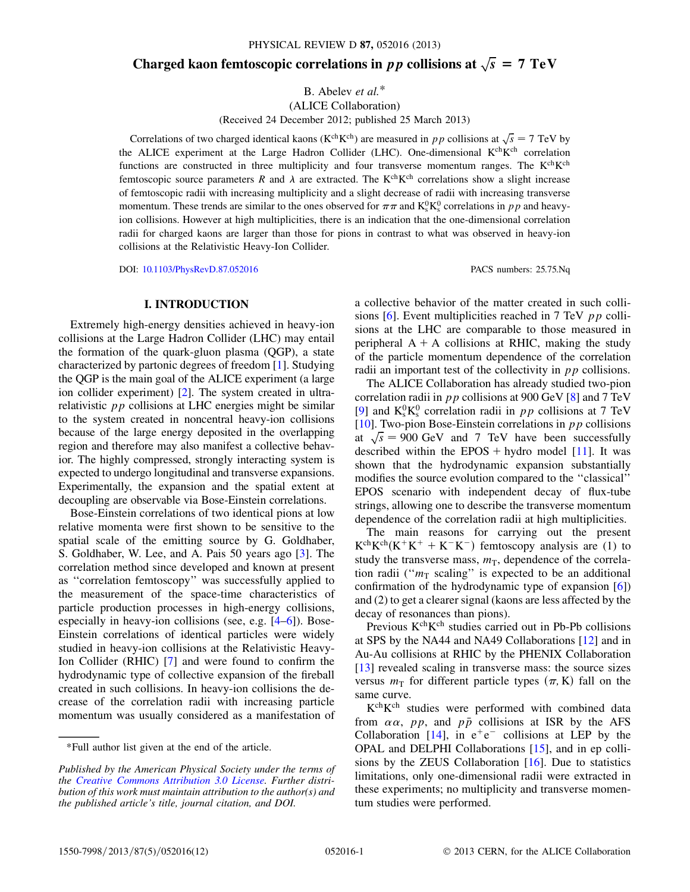# Charged kaon femtoscopic correlations in  $pp$  collisions at  $\sqrt{s} = 7 \text{ TeV}$

B. Abelev et al.<sup>\*</sup>

(ALICE Collaboration)

(Received 24 December 2012; published 25 March 2013)

Correlations of two charged identical kaons (K<sup>ch</sup>K<sup>ch</sup>) are measured in pp collisions at  $\sqrt{s}$  = 7 TeV by the ALICE experiment at the Large Hadron Collider (LHC). One-dimensional K<sup>ch</sup>K<sup>ch</sup> correlation functions are constructed in three multiplicity and four transverse momentum ranges. The  $K^{ch}K^{ch}$ femtoscopic source parameters R and  $\lambda$  are extracted. The K<sup>ch</sup>K<sup>ch</sup> correlations show a slight increase of femtoscopic radii with increasing multiplicity and a slight decrease of radii with increasing transverse momentum. These trends are similar to the ones observed for  $\pi\pi$  and  $K_s^0K_s^0$  correlations in pp and heavyion collisions. However at high multiplicities, there is an indication that the one-dimensional correlation radii for charged kaons are larger than those for pions in contrast to what was observed in heavy-ion collisions at the Relativistic Heavy-Ion Collider.

DOI: [10.1103/PhysRevD.87.052016](http://dx.doi.org/10.1103/PhysRevD.87.052016) PACS numbers: 25.75.Nq

## I. INTRODUCTION

Extremely high-energy densities achieved in heavy-ion collisions at the Large Hadron Collider (LHC) may entail the formation of the quark-gluon plasma (QGP), a state characterized by partonic degrees of freedom [[1\]](#page-6-0). Studying the QGP is the main goal of the ALICE experiment (a large ion collider experiment) [\[2\]](#page-6-1). The system created in ultrarelativistic  $pp$  collisions at LHC energies might be similar to the system created in noncentral heavy-ion collisions because of the large energy deposited in the overlapping region and therefore may also manifest a collective behavior. The highly compressed, strongly interacting system is expected to undergo longitudinal and transverse expansions. Experimentally, the expansion and the spatial extent at decoupling are observable via Bose-Einstein correlations.

Bose-Einstein correlations of two identical pions at low relative momenta were first shown to be sensitive to the spatial scale of the emitting source by G. Goldhaber, S. Goldhaber, W. Lee, and A. Pais 50 years ago [[3](#page-6-2)]. The correlation method since developed and known at present as ''correlation femtoscopy'' was successfully applied to the measurement of the space-time characteristics of particle production processes in high-energy collisions, especially in heavy-ion collisions (see, e.g. [[4](#page-6-3)[–6](#page-6-4)]). Bose-Einstein correlations of identical particles were widely studied in heavy-ion collisions at the Relativistic Heavy-Ion Collider (RHIC) [[7\]](#page-6-5) and were found to confirm the hydrodynamic type of collective expansion of the fireball created in such collisions. In heavy-ion collisions the decrease of the correlation radii with increasing particle momentum was usually considered as a manifestation of a collective behavior of the matter created in such collisions [\[6](#page-6-4)]. Event multiplicities reached in 7 TeV pp collisions at the LHC are comparable to those measured in peripheral  $A + A$  collisions at RHIC, making the study of the particle momentum dependence of the correlation radii an important test of the collectivity in  $pp$  collisions.

The ALICE Collaboration has already studied two-pion correlation radii in  $pp$  collisions at 900 GeV [\[8](#page-6-6)] and 7 TeV [\[9\]](#page-6-7) and  $K_s^0 K_s^0$  correlation radii in pp collisions at 7 TeV [\[10\]](#page-6-8). Two-pion Bose-Einstein correlations in  $p p$  collisions at  $\sqrt{s} = 900 \text{ GeV}$  and 7 TeV have been successfully described within the EPOS + hydro model  $[11]$ . It was shown that the hydrodynamic expansion substantially modifies the source evolution compared to the ''classical'' EPOS scenario with independent decay of flux-tube strings, allowing one to describe the transverse momentum dependence of the correlation radii at high multiplicities.

The main reasons for carrying out the present  $K^{ch}K^{ch}(K^+K^+ + K^-K^-)$  femtoscopy analysis are (1) to study the transverse mass,  $m<sub>T</sub>$ , dependence of the correlation radii (" $m<sub>T</sub>$  scaling" is expected to be an additional confirmation of the hydrodynamic type of expansion [[6](#page-6-4)]) and (2) to get a clearer signal (kaons are less affected by the decay of resonances than pions).

Previous  $K<sup>ch</sup>K<sup>ch</sup>$  studies carried out in Pb-Pb collisions at SPS by the NA44 and NA49 Collaborations [\[12](#page-6-10)] and in Au-Au collisions at RHIC by the PHENIX Collaboration [\[13\]](#page-6-11) revealed scaling in transverse mass: the source sizes versus  $m<sub>T</sub>$  for different particle types  $(\pi, K)$  fall on the same curve.

K<sup>ch</sup>K<sup>ch</sup> studies were performed with combined data from  $\alpha \alpha$ , pp, and  $p\bar{p}$  collisions at ISR by the AFS Collaboration [\[14](#page-6-12)], in  $e^+e^-$  collisions at LEP by the OPAL and DELPHI Collaborations [\[15\]](#page-6-13), and in ep collisions by the ZEUS Collaboration [[16](#page-6-14)]. Due to statistics limitations, only one-dimensional radii were extracted in these experiments; no multiplicity and transverse momentum studies were performed.

<sup>\*</sup>Full author list given at the end of the article.

Published by the American Physical Society under the terms of the [Creative Commons Attribution 3.0 License.](http://creativecommons.org/licenses/by/3.0/) Further distribution of this work must maintain attribution to the author(s) and the published article's title, journal citation, and DOI.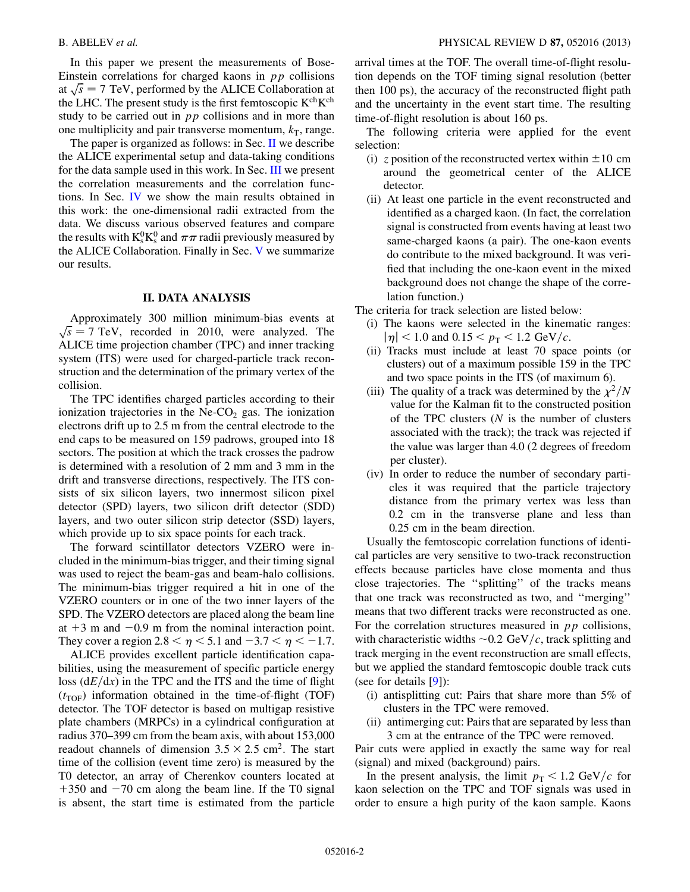In this paper we present the measurements of Bose-Einstein correlations for charged kaons in  $pp$  collisions at  $\sqrt{s} = 7$  TeV, performed by the ALICE Collaboration at the LHC. The present study is the first femtoscopic  $K^{ch}K^{ch}$ study to be carried out in  $pp$  collisions and in more than one multiplicity and pair transverse momentum,  $k_T$ , range.

The paper is organized as follows: in Sec. [II](#page-1-0) we describe the ALICE experimental setup and data-taking conditions for the data sample used in this work. In Sec. [III](#page-2-0) we present the correlation measurements and the correlation functions. In Sec. [IV](#page-3-0) we show the main results obtained in this work: the one-dimensional radii extracted from the data. We discuss various observed features and compare the results with  $K_s^0 K_s^0$  and  $\pi \pi$  radii previously measured by the ALICE Collaboration. Finally in Sec. [V](#page-5-0) we summarize our results.

## II. DATA ANALYSIS

<span id="page-1-0"></span>Approximately 300 million minimum-bias events at  $\sqrt{s} = 7$  TeV, recorded in 2010, were analyzed. The ALICE time projection chamber (TPC) and inner tracking system (ITS) were used for charged-particle track reconstruction and the determination of the primary vertex of the collision.

The TPC identifies charged particles according to their ionization trajectories in the  $Ne-CO<sub>2</sub>$  gas. The ionization electrons drift up to 2.5 m from the central electrode to the end caps to be measured on 159 padrows, grouped into 18 sectors. The position at which the track crosses the padrow is determined with a resolution of 2 mm and 3 mm in the drift and transverse directions, respectively. The ITS consists of six silicon layers, two innermost silicon pixel detector (SPD) layers, two silicon drift detector (SDD) layers, and two outer silicon strip detector (SSD) layers, which provide up to six space points for each track.

The forward scintillator detectors VZERO were included in the minimum-bias trigger, and their timing signal was used to reject the beam-gas and beam-halo collisions. The minimum-bias trigger required a hit in one of the VZERO counters or in one of the two inner layers of the SPD. The VZERO detectors are placed along the beam line at  $+3$  m and  $-0.9$  m from the nominal interaction point. They cover a region  $2.8 < \eta < 5.1$  and  $-3.7 < \eta < -1.7$ .

ALICE provides excellent particle identification capabilities, using the measurement of specific particle energy loss  $(dE/dx)$  in the TPC and the ITS and the time of flight  $(t_{\text{TOF}})$  information obtained in the time-of-flight (TOF) detector. The TOF detector is based on multigap resistive plate chambers (MRPCs) in a cylindrical configuration at radius 370–399 cm from the beam axis, with about 153,000 readout channels of dimension  $3.5 \times 2.5$  cm<sup>2</sup>. The start time of the collision (event time zero) is measured by the T0 detector, an array of Cherenkov counters located at  $+350$  and  $-70$  cm along the beam line. If the T0 signal is absent, the start time is estimated from the particle arrival times at the TOF. The overall time-of-flight resolution depends on the TOF timing signal resolution (better then 100 ps), the accuracy of the reconstructed flight path and the uncertainty in the event start time. The resulting time-of-flight resolution is about 160 ps.

The following criteria were applied for the event selection:

- (i) z position of the reconstructed vertex within  $\pm 10$  cm around the geometrical center of the ALICE detector.
- (ii) At least one particle in the event reconstructed and identified as a charged kaon. (In fact, the correlation signal is constructed from events having at least two same-charged kaons (a pair). The one-kaon events do contribute to the mixed background. It was verified that including the one-kaon event in the mixed background does not change the shape of the correlation function.)

The criteria for track selection are listed below:

- (i) The kaons were selected in the kinematic ranges:  $|\eta|$  < 1.0 and 0.15 <  $p_T$  < 1.2 GeV/c.
- (ii) Tracks must include at least 70 space points (or clusters) out of a maximum possible 159 in the TPC and two space points in the ITS (of maximum 6).
- (iii) The quality of a track was determined by the  $\chi^2/N$ value for the Kalman fit to the constructed position of the TPC clusters  $(N$  is the number of clusters associated with the track); the track was rejected if the value was larger than 4.0 (2 degrees of freedom per cluster).
- (iv) In order to reduce the number of secondary particles it was required that the particle trajectory distance from the primary vertex was less than 0.2 cm in the transverse plane and less than 0.25 cm in the beam direction.

Usually the femtoscopic correlation functions of identical particles are very sensitive to two-track reconstruction effects because particles have close momenta and thus close trajectories. The ''splitting'' of the tracks means that one track was reconstructed as two, and ''merging'' means that two different tracks were reconstructed as one. For the correlation structures measured in  $pp$  collisions, with characteristic widths  $\sim 0.2$  GeV/c, track splitting and track merging in the event reconstruction are small effects, but we applied the standard femtoscopic double track cuts (see for details [\[9](#page-6-7)]):

- (i) antisplitting cut: Pairs that share more than 5% of clusters in the TPC were removed.
- (ii) antimerging cut: Pairs that are separated by less than 3 cm at the entrance of the TPC were removed.

Pair cuts were applied in exactly the same way for real (signal) and mixed (background) pairs.

In the present analysis, the limit  $p_T < 1.2 \text{ GeV}/c$  for kaon selection on the TPC and TOF signals was used in order to ensure a high purity of the kaon sample. Kaons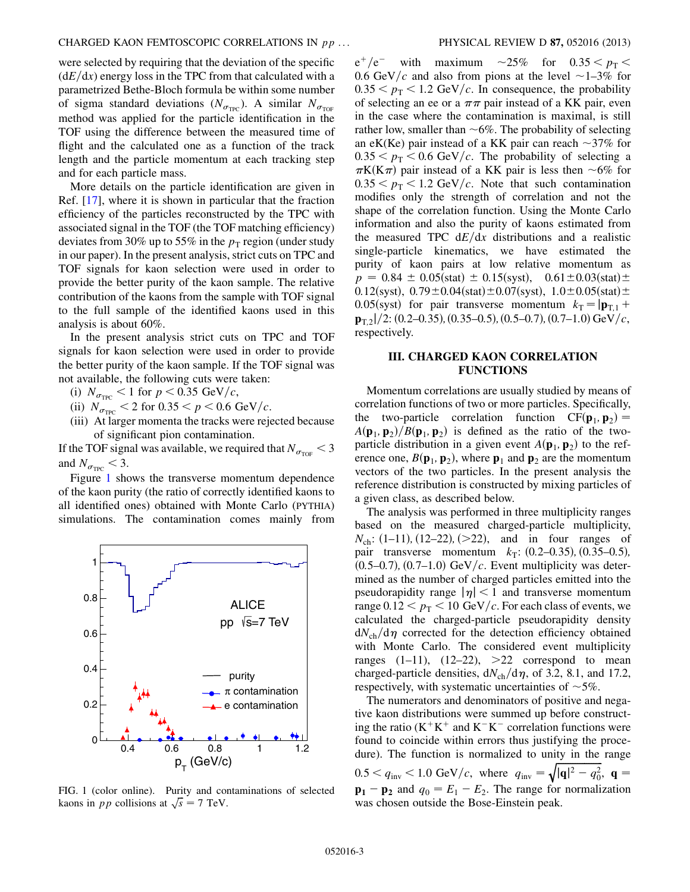were selected by requiring that the deviation of the specific  $(dE/dx)$  energy loss in the TPC from that calculated with a parametrized Bethe-Bloch formula be within some number of sigma standard deviations ( $N_{\sigma_{\text{TPC}}}$ ). A similar  $N_{\sigma_{\text{TOF}}}$ method was applied for the particle identification in the TOF using the difference between the measured time of flight and the calculated one as a function of the track length and the particle momentum at each tracking step and for each particle mass.

More details on the particle identification are given in Ref. [\[17\]](#page-6-15), where it is shown in particular that the fraction efficiency of the particles reconstructed by the TPC with associated signal in the TOF (the TOF matching efficiency) deviates from 30% up to 55% in the  $p_T$  region (under study in our paper). In the present analysis, strict cuts on TPC and TOF signals for kaon selection were used in order to provide the better purity of the kaon sample. The relative contribution of the kaons from the sample with TOF signal to the full sample of the identified kaons used in this analysis is about 60%.

In the present analysis strict cuts on TPC and TOF signals for kaon selection were used in order to provide the better purity of the kaon sample. If the TOF signal was not available, the following cuts were taken:

- (i)  $N_{\sigma_{\text{TPC}}}$  < 1 for  $p < 0.35 \text{ GeV}/c$ ,
- (ii)  $N_{\sigma_{\text{TPC}}}$  < 2 for 0.35 <  $p$  < 0.6 GeV/c.
- (iii) At larger momenta the tracks were rejected because of significant pion contamination.

If the TOF signal was available, we required that  $N_{\sigma_{\text{TOE}}}$  < 3 and  $N_{\sigma_{\text{TPC}}}$  < 3.

Figure [1](#page-2-1) shows the transverse momentum dependence of the kaon purity (the ratio of correctly identified kaons to all identified ones) obtained with Monte Carlo (PYTHIA) simulations. The contamination comes mainly from

<span id="page-2-1"></span>

FIG. 1 (color online). Purity and contaminations of selected kaons in *pp* collisions at  $\sqrt{s} = 7$  TeV.

 $e^+/e^-$  with maximum ~25% for 0.35 <  $p_T$  < 0.6 GeV/c and also from pions at the level  $\sim$  1–3% for  $0.35 < p_T < 1.2$  GeV/c. In consequence, the probability of selecting an ee or a  $\pi\pi$  pair instead of a KK pair, even in the case where the contamination is maximal, is still rather low, smaller than  $\sim 6\%$ . The probability of selecting an eK(Ke) pair instead of a KK pair can reach  $\sim$ 37% for  $0.35 < p_{\rm T} < 0.6$  GeV/c. The probability of selecting a  $\pi K(K\pi)$  pair instead of a KK pair is less then ~6% for  $0.35 < p_T < 1.2$  GeV/c. Note that such contamination modifies only the strength of correlation and not the shape of the correlation function. Using the Monte Carlo information and also the purity of kaons estimated from the measured TPC  $dE/dx$  distributions and a realistic single-particle kinematics, we have estimated the purity of kaon pairs at low relative momentum as  $p = 0.84 \pm 0.05$ (stat)  $\pm$  0.15(syst), 0.61 $\pm$ 0.03(stat) $\pm$ 0.12(syst),  $0.79 \pm 0.04$ (stat) $\pm 0.07$ (syst),  $1.0 \pm 0.05$ (stat) $\pm$ 0.05(syst) for pair transverse momentum  $k_T = |\mathbf{p}_{T_1}| +$  $p_{T,2}/2$ : (0.2–0.35), (0.35–0.5), (0.5–0.7), (0.7–1.0) GeV/c, respectively.

#### III. CHARGED KAON CORRELATION FUNCTIONS

<span id="page-2-0"></span>Momentum correlations are usually studied by means of correlation functions of two or more particles. Specifically, the two-particle correlation function  $CF(\mathbf{p}_1, \mathbf{p}_2) =$  $A(\mathbf{p}_1, \mathbf{p}_2)/B(\mathbf{p}_1, \mathbf{p}_2)$  is defined as the ratio of the twoparticle distribution in a given event  $A(\mathbf{p}_1, \mathbf{p}_2)$  to the reference one,  $B(\mathbf{p}_1, \mathbf{p}_2)$ , where  $\mathbf{p}_1$  and  $\mathbf{p}_2$  are the momentum vectors of the two particles. In the present analysis the reference distribution is constructed by mixing particles of a given class, as described below.

The analysis was performed in three multiplicity ranges based on the measured charged-particle multiplicity,  $N_{\rm ch}:$  (1–11), (12–22), (>22), and in four ranges of pair transverse momentum  $k_T$ : (0.2–0.35), (0.35–0.5),  $(0.5-0.7), (0.7-1.0)$  GeV/c. Event multiplicity was determined as the number of charged particles emitted into the pseudorapidity range  $|\eta|$  < 1 and transverse momentum range  $0.12 < p_T < 10 \text{ GeV}/c$ . For each class of events, we calculated the charged-particle pseudorapidity density  $dN_{ch}/d\eta$  corrected for the detection efficiency obtained with Monte Carlo. The considered event multiplicity ranges  $(1-11)$ ,  $(12-22)$ ,  $>22$  correspond to mean charged-particle densities,  $dN_{ch}/d\eta$ , of 3.2, 8.1, and 17.2, respectively, with systematic uncertainties of  $\sim$  5%.

The numerators and denominators of positive and negative kaon distributions were summed up before constructing the ratio  $(K^+K^+$  and  $K^-K^-$  correlation functions were found to coincide within errors thus justifying the procedure). The function is normalized to unity in the range  $0.5 < q_{\text{inv}} < 1.0 \text{ GeV}/c$ , where  $q_{\text{inv}} = \sqrt{|q|^2 - q_0^2}$ ,  $q =$  $\mathbf{p}_1 - \mathbf{p}_2$  and  $q_0 = E_1 - E_2$ . The range for normalization was chosen outside the Bose-Einstein peak.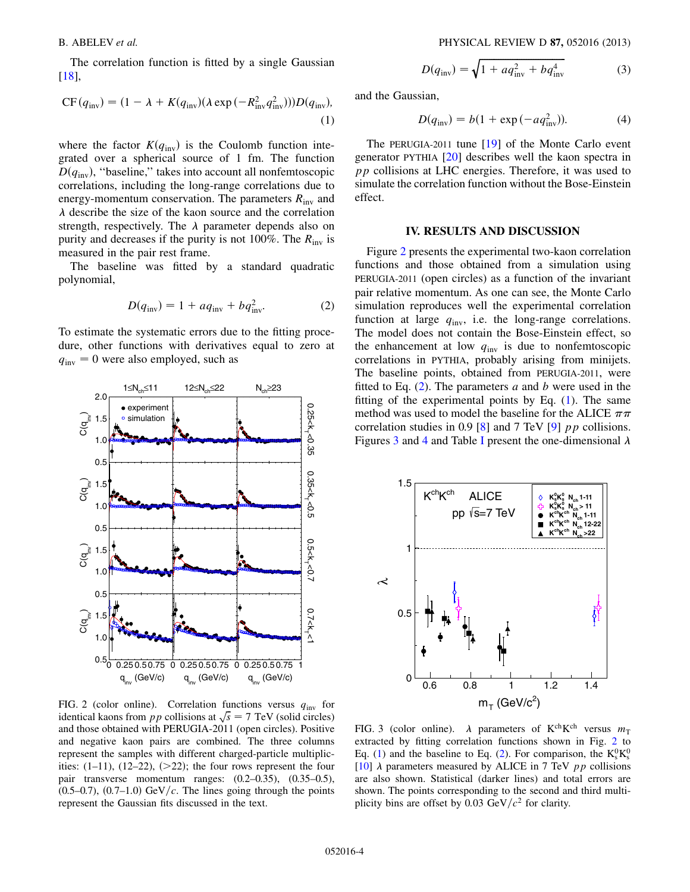The correlation function is fitted by a single Gaussian [\[18\]](#page-6-16),

<span id="page-3-3"></span>
$$
CF(qinv) = (1 - \lambda + K(qinv)(\lambda \exp(-Rinv2qinv2)))D(qinv),
$$
\n(1)

where the factor  $K(q_{\text{inv}})$  is the Coulomb function integrated over a spherical source of 1 fm. The function  $D(q_{\text{inv}})$ , "baseline," takes into account all nonfemtoscopic correlations, including the long-range correlations due to energy-momentum conservation. The parameters  $R_{\text{inv}}$  and  $\lambda$  describe the size of the kaon source and the correlation strength, respectively. The  $\lambda$  parameter depends also on purity and decreases if the purity is not 100%. The  $R_{\text{inv}}$  is measured in the pair rest frame.

<span id="page-3-2"></span>The baseline was fitted by a standard quadratic polynomial,

$$
D(q_{\rm inv}) = 1 + aq_{\rm inv} + bq_{\rm inv}^2.
$$
 (2)

To estimate the systematic errors due to the fitting procedure, other functions with derivatives equal to zero at  $q_{\text{inv}} = 0$  were also employed, such as

<span id="page-3-1"></span>

FIG. 2 (color online). Correlation functions versus  $q_{\text{inv}}$  for identical kaons from pp collisions at  $\sqrt{s} = 7$  TeV (solid circles) and those obtained with PERUGIA-2011 (open circles). Positive and negative kaon pairs are combined. The three columns represent the samples with different charged-particle multiplicities:  $(1-11)$ ,  $(12-22)$ ,  $(>22)$ ; the four rows represent the four pair transverse momentum ranges: (0.2–0.35), (0.35–0.5),  $(0.5-0.7)$ ,  $(0.7-1.0)$  GeV/c. The lines going through the points represent the Gaussian fits discussed in the text.

$$
D(q_{\text{inv}}) = \sqrt{1 + a q_{\text{inv}}^2 + b q_{\text{inv}}^4}
$$
 (3)

<span id="page-3-6"></span><span id="page-3-5"></span>and the Gaussian,

$$
D(q_{\text{inv}}) = b(1 + \exp(-aq_{\text{inv}}^2)).
$$
 (4)

The PERUGIA-2011 tune [\[19](#page-6-17)] of the Monte Carlo event generator PYTHIA [[20](#page-6-18)] describes well the kaon spectra in pp collisions at LHC energies. Therefore, it was used to simulate the correlation function without the Bose-Einstein effect.

#### IV. RESULTS AND DISCUSSION

<span id="page-3-0"></span>Figure [2](#page-3-1) presents the experimental two-kaon correlation functions and those obtained from a simulation using PERUGIA-2011 (open circles) as a function of the invariant pair relative momentum. As one can see, the Monte Carlo simulation reproduces well the experimental correlation function at large  $q_{\text{inv}}$ , i.e. the long-range correlations. The model does not contain the Bose-Einstein effect, so the enhancement at low  $q_{\text{inv}}$  is due to nonfemtoscopic correlations in PYTHIA, probably arising from minijets. The baseline points, obtained from PERUGIA-2011, were fitted to Eq.  $(2)$  $(2)$ . The parameters a and b were used in the fitting of the experimental points by Eq.  $(1)$  $(1)$  $(1)$ . The same method was used to model the baseline for the ALICE  $\pi\pi$ correlation studies in 0.9 [\[8](#page-6-6)] and 7 TeV [\[9](#page-6-7)]  $pp$  collisions. Figures [3](#page-3-4) and [4](#page-4-0) and Table [I](#page-4-1) present the one-dimensional  $\lambda$ 

<span id="page-3-4"></span>

FIG. 3 (color online).  $\lambda$  parameters of K<sup>ch</sup>K<sup>ch</sup> versus  $m<sub>T</sub>$ extracted by fitting correlation functions shown in Fig. [2](#page-3-1) to Eq. ([1](#page-3-3)) and the baseline to Eq. [\(2](#page-3-2)). For comparison, the  $K_s^0 K_s^0$ [\[10\]](#page-6-8)  $\lambda$  parameters measured by ALICE in 7 TeV pp collisions are also shown. Statistical (darker lines) and total errors are shown. The points corresponding to the second and third multiplicity bins are offset by 0.03 GeV/ $c^2$  for clarity.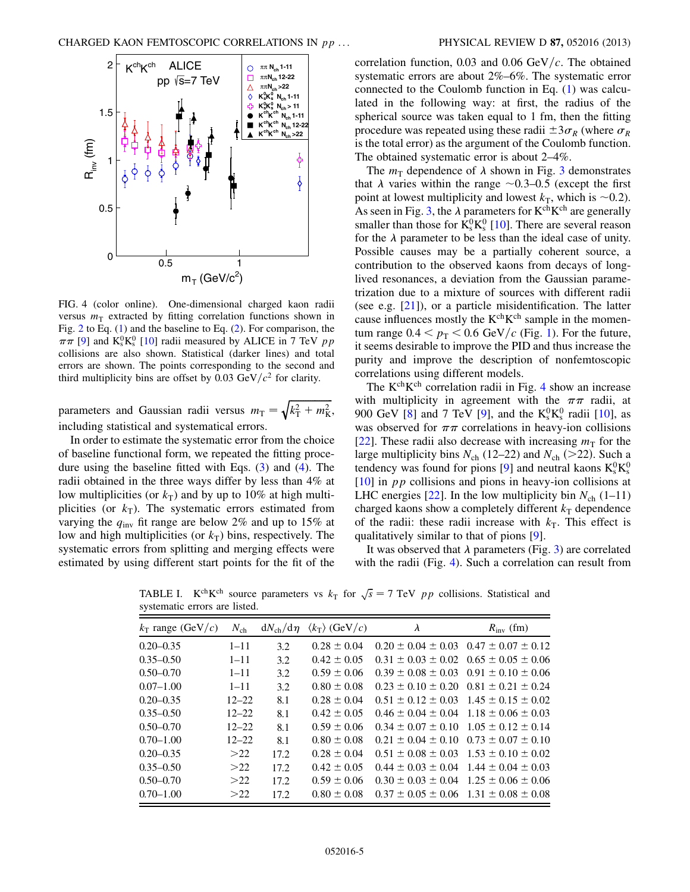<span id="page-4-0"></span>

FIG. 4 (color online). One-dimensional charged kaon radii versus  $m<sub>T</sub>$  extracted by fitting correlation functions shown in Fig. [2](#page-3-1) to Eq. [\(1\)](#page-3-3) and the baseline to Eq. [\(2\)](#page-3-2). For comparison, the  $\pi\pi$  [[9\]](#page-6-7) and K<sub>S</sub>K<sub>S</sub> [\[10\]](#page-6-8) radii measured by ALICE in 7 TeV pp collisions are also shown. Statistical (darker lines) and total errors are shown. The points corresponding to the second and third multiplicity bins are offset by 0.03 GeV/ $c^2$  for clarity.

parameters and Gaussian radii versus  $m_{\text{T}} = \sqrt{k_{\text{T}}^2 + m_{\text{K}}^2}$ , including statistical and systematical errors.

In order to estimate the systematic error from the choice of baseline functional form, we repeated the fitting procedure using the baseline fitted with Eqs. [\(3](#page-3-5)) and [\(4\)](#page-3-6). The radii obtained in the three ways differ by less than 4% at low multiplicities (or  $k_T$ ) and by up to 10% at high multiplicities (or  $k_T$ ). The systematic errors estimated from varying the  $q_{\text{inv}}$  fit range are below 2% and up to 15% at low and high multiplicities (or  $k_T$ ) bins, respectively. The systematic errors from splitting and merging effects were estimated by using different start points for the fit of the correlation function, 0.03 and 0.06 GeV/ $c$ . The obtained systematic errors are about 2%–6%. The systematic error connected to the Coulomb function in Eq. ([1\)](#page-3-3) was calculated in the following way: at first, the radius of the spherical source was taken equal to 1 fm, then the fitting procedure was repeated using these radii  $\pm 3\sigma_R$  (where  $\sigma_R$ ) is the total error) as the argument of the Coulomb function. The obtained systematic error is about 2–4%.

The  $m<sub>T</sub>$  dependence of  $\lambda$  shown in Fig. [3](#page-3-4) demonstrates that  $\lambda$  varies within the range  $\sim 0.3-0.5$  (except the first point at lowest multiplicity and lowest  $k<sub>T</sub>$ , which is ~0.2). As seen in Fig. [3,](#page-3-4) the  $\lambda$  parameters for K<sup>ch</sup>K<sup>ch</sup> are generally smaller than those for  $\dot{K}_{s}^{0}K_{s}^{0}$  [[10](#page-6-8)]. There are several reason for the  $\lambda$  parameter to be less than the ideal case of unity. Possible causes may be a partially coherent source, a contribution to the observed kaons from decays of longlived resonances, a deviation from the Gaussian parametrization due to a mixture of sources with different radii (see e.g. [[21](#page-6-19)]), or a particle misidentification. The latter cause influences mostly the  $K^{ch}K^{ch}$  sample in the momentum range  $0.4 < p_T < 0.6$  GeV/c (Fig. [1\)](#page-2-1). For the future, it seems desirable to improve the PID and thus increase the purity and improve the description of nonfemtoscopic correlations using different models.

The  $K^{ch}K^{ch}$  correlation radii in Fig. [4](#page-4-0) show an increase with multiplicity in agreement with the  $\pi\pi$  radii, at 900 GeV [\[8\]](#page-6-6) and 7 TeV [[9](#page-6-7)], and the  $K_s^0 K_s^0$  radii [\[10](#page-6-8)], as was observed for  $\pi\pi$  correlations in heavy-ion collisions [\[22\]](#page-6-20). These radii also decrease with increasing  $m<sub>T</sub>$  for the large multiplicity bins  $N_{ch}$  (12–22) and  $N_{ch}$  (>22). Such a tendency was found for pions [\[9](#page-6-7)] and neutral kaons  $K_s^0 K_s^0$ [\[10\]](#page-6-8) in pp collisions and pions in heavy-ion collisions at LHC energies [\[22\]](#page-6-20). In the low multiplicity bin  $N_{ch}$  (1–11) charged kaons show a completely different  $k<sub>T</sub>$  dependence of the radii: these radii increase with  $k<sub>T</sub>$ . This effect is qualitatively similar to that of pions [\[9\]](#page-6-7).

It was observed that  $\lambda$  parameters (Fig. [3\)](#page-3-4) are correlated with the radii (Fig. [4](#page-4-0)). Such a correlation can result from

| $k_T$ range (GeV/c) | $N_{\rm ch}$ |       | $dN_{ch}/d\eta \langle k_T \rangle$ (GeV/c) | $\lambda$                                         | $R_{\text{inv}}$ (fm)    |
|---------------------|--------------|-------|---------------------------------------------|---------------------------------------------------|--------------------------|
| $0.20 - 0.35$       | $1 - 11$     | 3.2   | $0.28 \pm 0.04$                             | $0.20 \pm 0.04 \pm 0.03$ $0.47 \pm 0.07 \pm 0.12$ |                          |
| $0.35 - 0.50$       | $1 - 11$     | 3.2   | $0.42 \pm 0.05$                             | $0.31 \pm 0.03 \pm 0.02$ $0.65 \pm 0.05 \pm 0.06$ |                          |
| $0.50 - 0.70$       | $1 - 11$     | 3.2   | $0.59 \pm 0.06$                             | $0.39 \pm 0.08 \pm 0.03$                          | $0.91 \pm 0.10 \pm 0.06$ |
| $0.07 - 1.00$       | $1 - 11$     | 3.2   | $0.80 \pm 0.08$                             | $0.23 \pm 0.10 \pm 0.20$                          | $0.81 \pm 0.21 \pm 0.24$ |
| $0.20 - 0.35$       | $12 - 22$    | 8.1   | $0.28 \pm 0.04$                             | $0.51 \pm 0.12 \pm 0.03$ $1.45 \pm 0.15 \pm 0.02$ |                          |
| $0.35 - 0.50$       | $12 - 22$    | 8.1   | $0.42 \pm 0.05$                             | $0.46 \pm 0.04 \pm 0.04$                          | $1.18 \pm 0.06 \pm 0.03$ |
| $0.50 - 0.70$       | $12 - 22$    | 8.1   | $0.59 \pm 0.06$                             | $0.34 \pm 0.07 \pm 0.10$ $1.05 \pm 0.12 \pm 0.14$ |                          |
| $0.70 - 1.00$       | $12 - 22$    | 8.1   | $0.80 \pm 0.08$                             | $0.21 \pm 0.04 \pm 0.10$                          | $0.73 \pm 0.07 \pm 0.10$ |
| $0.20 - 0.35$       | >22          | 17.2. | $0.28 \pm 0.04$                             | $0.51 \pm 0.08 \pm 0.03$                          | $1.53 \pm 0.10 \pm 0.02$ |
| $0.35 - 0.50$       | >22          | 17.2  | $0.42 \pm 0.05$                             | $0.44 \pm 0.03 \pm 0.04$                          | $1.44 \pm 0.04 \pm 0.03$ |
| $0.50 - 0.70$       | >22          | 17.2. | $0.59 \pm 0.06$                             | $0.30 \pm 0.03 \pm 0.04$                          | $1.25 \pm 0.06 \pm 0.06$ |
| $0.70 - 1.00$       | >22          | 17.2  | $0.80 \pm 0.08$                             | $0.37 \pm 0.05 \pm 0.06$ $1.31 \pm 0.08 \pm 0.08$ |                          |

<span id="page-4-1"></span>TABLE I. K<sup>ch</sup>K<sup>ch</sup> source parameters vs  $k_T$  for  $\sqrt{s} = 7$  TeV pp collisions. Statistical and systematic errors are listed.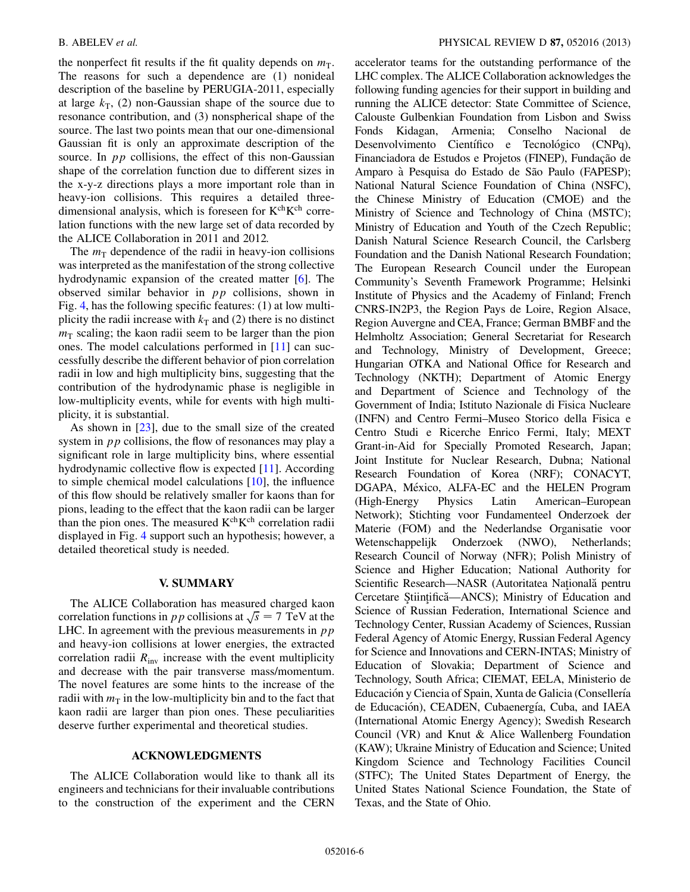the nonperfect fit results if the fit quality depends on  $m<sub>T</sub>$ . The reasons for such a dependence are (1) nonideal description of the baseline by PERUGIA-2011, especially at large  $k_T$ , (2) non-Gaussian shape of the source due to resonance contribution, and (3) nonspherical shape of the source. The last two points mean that our one-dimensional Gaussian fit is only an approximate description of the source. In *pp* collisions, the effect of this non-Gaussian shape of the correlation function due to different sizes in the x-y-z directions plays a more important role than in heavy-ion collisions. This requires a detailed threedimensional analysis, which is foreseen for  $K<sup>ch</sup>K<sup>ch</sup>$  correlation functions with the new large set of data recorded by the ALICE Collaboration in 2011 and 2012.

The  $m<sub>T</sub>$  dependence of the radii in heavy-ion collisions was interpreted as the manifestation of the strong collective hydrodynamic expansion of the created matter [[6\]](#page-6-4). The observed similar behavior in  $pp$  collisions, shown in Fig. [4](#page-4-0), has the following specific features: (1) at low multiplicity the radii increase with  $k_T$  and (2) there is no distinct  $m<sub>T</sub>$  scaling; the kaon radii seem to be larger than the pion ones. The model calculations performed in [[11](#page-6-9)] can successfully describe the different behavior of pion correlation radii in low and high multiplicity bins, suggesting that the contribution of the hydrodynamic phase is negligible in low-multiplicity events, while for events with high multiplicity, it is substantial.

As shown in [[23](#page-6-21)], due to the small size of the created system in *pp* collisions, the flow of resonances may play a significant role in large multiplicity bins, where essential hydrodynamic collective flow is expected [\[11\]](#page-6-9). According to simple chemical model calculations [[10](#page-6-8)], the influence of this flow should be relatively smaller for kaons than for pions, leading to the effect that the kaon radii can be larger than the pion ones. The measured  $K<sup>ch</sup>K<sup>ch</sup>$  correlation radii displayed in Fig. [4](#page-4-0) support such an hypothesis; however, a detailed theoretical study is needed.

#### V. SUMMARY

<span id="page-5-0"></span>The ALICE Collaboration has measured charged kaon correlation functions in pp collisions at  $\sqrt{s} = 7$  TeV at the LHC. In agreement with the previous measurements in  $p p$ and heavy-ion collisions at lower energies, the extracted correlation radii  $R_{\text{inv}}$  increase with the event multiplicity and decrease with the pair transverse mass/momentum. The novel features are some hints to the increase of the radii with  $m<sub>T</sub>$  in the low-multiplicity bin and to the fact that kaon radii are larger than pion ones. These peculiarities deserve further experimental and theoretical studies.

### ACKNOWLEDGMENTS

The ALICE Collaboration would like to thank all its engineers and technicians for their invaluable contributions to the construction of the experiment and the CERN accelerator teams for the outstanding performance of the LHC complex. The ALICE Collaboration acknowledges the following funding agencies for their support in building and running the ALICE detector: State Committee of Science, Calouste Gulbenkian Foundation from Lisbon and Swiss Fonds Kidagan, Armenia; Conselho Nacional de Desenvolvimento Científico e Tecnológico (CNPq), Financiadora de Estudos e Projetos (FINEP), Fundação de Amparo à Pesquisa do Estado de São Paulo (FAPESP); National Natural Science Foundation of China (NSFC), the Chinese Ministry of Education (CMOE) and the Ministry of Science and Technology of China (MSTC); Ministry of Education and Youth of the Czech Republic; Danish Natural Science Research Council, the Carlsberg Foundation and the Danish National Research Foundation; The European Research Council under the European Community's Seventh Framework Programme; Helsinki Institute of Physics and the Academy of Finland; French CNRS-IN2P3, the Region Pays de Loire, Region Alsace, Region Auvergne and CEA, France; German BMBF and the Helmholtz Association; General Secretariat for Research and Technology, Ministry of Development, Greece; Hungarian OTKA and National Office for Research and Technology (NKTH); Department of Atomic Energy and Department of Science and Technology of the Government of India; Istituto Nazionale di Fisica Nucleare (INFN) and Centro Fermi–Museo Storico della Fisica e Centro Studi e Ricerche Enrico Fermi, Italy; MEXT Grant-in-Aid for Specially Promoted Research, Japan; Joint Institute for Nuclear Research, Dubna; National Research Foundation of Korea (NRF); CONACYT, DGAPA, México, ALFA-EC and the HELEN Program (High-Energy Physics Latin American–European Network); Stichting voor Fundamenteel Onderzoek der Materie (FOM) and the Nederlandse Organisatie voor Wetenschappelijk Onderzoek (NWO), Netherlands; Research Council of Norway (NFR); Polish Ministry of Science and Higher Education; National Authority for Scientific Research—NASR (Autoritatea Națională pentru Cercetare Stiințifică—ANCS); Ministry of Education and Science of Russian Federation, International Science and Technology Center, Russian Academy of Sciences, Russian Federal Agency of Atomic Energy, Russian Federal Agency for Science and Innovations and CERN-INTAS; Ministry of Education of Slovakia; Department of Science and Technology, South Africa; CIEMAT, EELA, Ministerio de Educación y Ciencia of Spain, Xunta de Galicia (Consellería de Educación), CEADEN, Cubaenergía, Cuba, and IAEA (International Atomic Energy Agency); Swedish Research Council (VR) and Knut & Alice Wallenberg Foundation (KAW); Ukraine Ministry of Education and Science; United Kingdom Science and Technology Facilities Council (STFC); The United States Department of Energy, the United States National Science Foundation, the State of Texas, and the State of Ohio.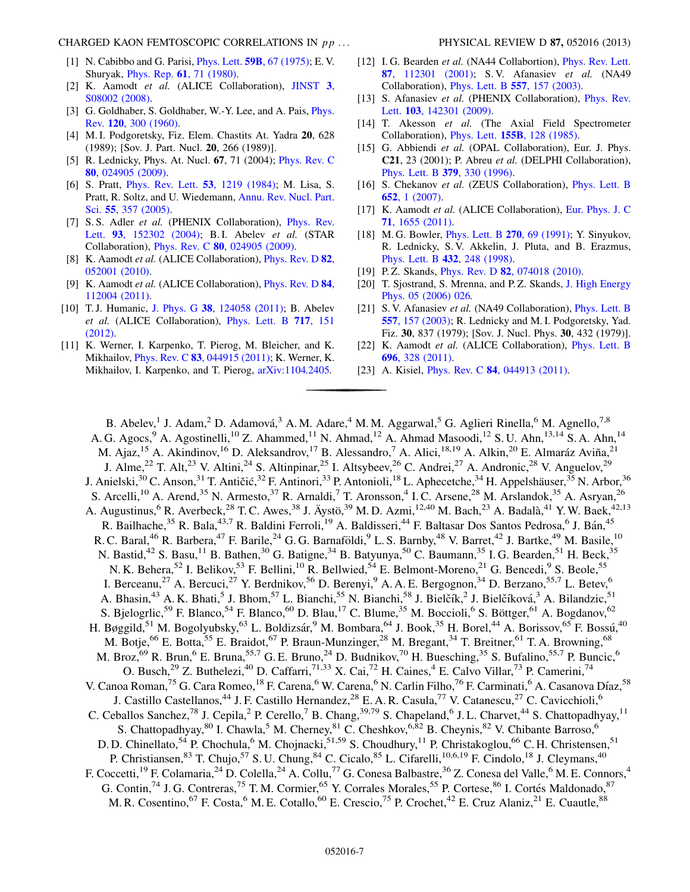- <span id="page-6-0"></span>[1] N. Cabibbo and G. Parisi, *Phys. Lett.* **59B**[, 67 \(1975\);](http://dx.doi.org/10.1016/0370-2693(75)90158-6) E. V. Shuryak, Phys. Rep. 61[, 71 \(1980\).](http://dx.doi.org/10.1016/0370-1573(80)90105-2)
- <span id="page-6-1"></span>[2] K. Aamodt et al. (ALICE Collaboration), [JINST](http://dx.doi.org/10.1088/1748-0221/3/08/S08002) 3, [S08002 \(2008\)](http://dx.doi.org/10.1088/1748-0221/3/08/S08002).
- <span id="page-6-2"></span>[3] G. Goldhaber, S. Goldhaber, W.-Y. Lee, and A. Pais, *[Phys.](http://dx.doi.org/10.1103/PhysRev.120.300)* Rev. 120[, 300 \(1960\).](http://dx.doi.org/10.1103/PhysRev.120.300)
- <span id="page-6-3"></span>[4] M. I. Podgoretsky, Fiz. Elem. Chastits At. Yadra 20, 628 (1989); [Sov. J. Part. Nucl. 20, 266 (1989)].
- [5] R. Lednicky, Phys. At. Nucl. 67, 71 (2004); [Phys. Rev. C](http://dx.doi.org/10.1103/PhysRevC.80.024905) 80[, 024905 \(2009\)](http://dx.doi.org/10.1103/PhysRevC.80.024905).
- <span id="page-6-4"></span>[6] S. Pratt, [Phys. Rev. Lett.](http://dx.doi.org/10.1103/PhysRevLett.53.1219) 53, 1219 (1984); M. Lisa, S. Pratt, R. Soltz, and U. Wiedemann, [Annu. Rev. Nucl. Part.](http://dx.doi.org/10.1146/annurev.nucl.55.090704.151533) Sci. 55[, 357 \(2005\).](http://dx.doi.org/10.1146/annurev.nucl.55.090704.151533)
- <span id="page-6-5"></span>[7] S. S. Adler et al. (PHENIX Collaboration), [Phys. Rev.](http://dx.doi.org/10.1103/PhysRevLett.93.152302) Lett. 93[, 152302 \(2004\);](http://dx.doi.org/10.1103/PhysRevLett.93.152302) B.I. Abelev et al. (STAR Collaboration), Phys. Rev. C 80[, 024905 \(2009\)](http://dx.doi.org/10.1103/PhysRevC.80.024905).
- <span id="page-6-6"></span>[8] K. Aamodt et al. (ALICE Collaboration), *[Phys. Rev. D](http://dx.doi.org/10.1103/PhysRevD.82.052001) 82*, [052001 \(2010\)](http://dx.doi.org/10.1103/PhysRevD.82.052001).
- <span id="page-6-7"></span>[9] K. Aamodt et al. (ALICE Collaboration), *[Phys. Rev. D](http://dx.doi.org/10.1103/PhysRevD.84.112004)* 84, [112004 \(2011\)](http://dx.doi.org/10.1103/PhysRevD.84.112004).
- <span id="page-6-8"></span>[10] T.J. Humanic, J. Phys. G 38[, 124058 \(2011\)](http://dx.doi.org/10.1088/0954-3899/38/12/124058); B. Abelev et al. (ALICE Collaboration), [Phys. Lett. B](http://dx.doi.org/10.1016/j.physletb.2012.09.013) 717, 151 [\(2012\)](http://dx.doi.org/10.1016/j.physletb.2012.09.013).
- <span id="page-6-9"></span>[11] K. Werner, I. Karpenko, T. Pierog, M. Bleicher, and K. Mikhailov, Phys. Rev. C 83[, 044915 \(2011\);](http://dx.doi.org/10.1103/PhysRevC.83.044915) K. Werner, K. Mikhailov, I. Karpenko, and T. Pierog, [arXiv:1104.2405.](http://arXiv.org/abs/1104.2405)
- <span id="page-6-10"></span>[12] I.G. Bearden et al. (NA44 Collabortion), [Phys. Rev. Lett.](http://dx.doi.org/10.1103/PhysRevLett.87.112301) 87[, 112301 \(2001\)](http://dx.doi.org/10.1103/PhysRevLett.87.112301); S. V. Afanasiev et al. (NA49 Collaboration), [Phys. Lett. B](http://dx.doi.org/10.1016/S0370-2693(03)00102-3) 557, 157 (2003).
- <span id="page-6-11"></span>[13] S. Afanasiev et al. (PHENIX Collaboration), *[Phys. Rev.](http://dx.doi.org/10.1103/PhysRevLett.103.142301)* Lett. **103**[, 142301 \(2009\).](http://dx.doi.org/10.1103/PhysRevLett.103.142301)
- <span id="page-6-12"></span>[14] T. Akesson et al. (The Axial Field Spectrometer Collaboration), Phys. Lett. 155B[, 128 \(1985\).](http://dx.doi.org/10.1016/0370-2693(85)91046-9)
- <span id="page-6-13"></span>[15] G. Abbiendi et al. (OPAL Collaboration), Eur. J. Phys. C21, 23 (2001); P. Abreu et al. (DELPHI Collaboration), [Phys. Lett. B](http://dx.doi.org/10.1016/0370-2693(96)00572-2) 379, 330 (1996).
- <span id="page-6-14"></span>[16] S. Chekanov et al. (ZEUS Collaboration), [Phys. Lett. B](http://dx.doi.org/10.1016/j.physletb.2007.06.052) 652[, 1 \(2007\)](http://dx.doi.org/10.1016/j.physletb.2007.06.052).
- <span id="page-6-15"></span>[17] K. Aamodt et al. (ALICE Collaboration), [Eur. Phys. J. C](http://dx.doi.org/10.1140/epjc/s10052-011-1655-9) 71[, 1655 \(2011\).](http://dx.doi.org/10.1140/epjc/s10052-011-1655-9)
- <span id="page-6-16"></span>[18] M. G. Bowler, *[Phys. Lett. B](http://dx.doi.org/10.1016/0370-2693(91)91541-3)* 270, 69 (1991); Y. Sinyukov, R. Lednicky, S. V. Akkelin, J. Pluta, and B. Erazmus, [Phys. Lett. B](http://dx.doi.org/10.1016/S0370-2693(98)00653-4) 432, 248 (1998).
- <span id="page-6-17"></span>[19] P. Z. Skands, *Phys. Rev. D* **82**[, 074018 \(2010\).](http://dx.doi.org/10.1103/PhysRevD.82.074018)
- <span id="page-6-18"></span>[20] T. Sjostrand, S. Mrenna, and P.Z. Skands, [J. High Energy](http://dx.doi.org/10.1088/1126-6708/2006/05/026) [Phys. 05 \(2006\) 026.](http://dx.doi.org/10.1088/1126-6708/2006/05/026)
- <span id="page-6-19"></span>[21] S. V. Afanasiev et al. (NA49 Collaboration), [Phys. Lett. B](http://dx.doi.org/10.1016/S0370-2693(03)00102-3) 557[, 157 \(2003\);](http://dx.doi.org/10.1016/S0370-2693(03)00102-3) R. Lednicky and M. I. Podgoretsky, Yad. Fiz. 30, 837 (1979); [Sov. J. Nucl. Phys. 30, 432 (1979)].
- <span id="page-6-20"></span>[22] K. Aamodt et al. (ALICE Collaboration), [Phys. Lett. B](http://dx.doi.org/10.1016/j.physletb.2010.12.053) 696[, 328 \(2011\).](http://dx.doi.org/10.1016/j.physletb.2010.12.053)
- <span id="page-6-21"></span>[23] A. Kisiel, *Phys. Rev. C* **84**[, 044913 \(2011\).](http://dx.doi.org/10.1103/PhysRevC.84.044913)

B. Abelev,<sup>1</sup> J. Adam,<sup>2</sup> D. Adamová,<sup>3</sup> A.M. Adare,<sup>4</sup> M.M. Aggarwal,<sup>5</sup> G. Aglieri Rinella,<sup>6</sup> M. Agnello,<sup>7,8</sup> A. G. Agocs,<sup>9</sup> A. Agostinelli,<sup>10</sup> Z. Ahammed,<sup>11</sup> N. Ahmad,<sup>12</sup> A. Ahmad Masoodi,<sup>12</sup> S. U. Ahn,<sup>13,14</sup> S. A. Ahn,<sup>14</sup> M. Ajaz,<sup>15</sup> A. Akindinov,<sup>16</sup> D. Aleksandrov,<sup>17</sup> B. Alessandro,<sup>7</sup> A. Alici,<sup>18,19</sup> A. Alkin,<sup>20</sup> E. Almaráz Aviña,<sup>21</sup> J. Alme,<sup>22</sup> T. Alt,<sup>23</sup> V. Altini,<sup>24</sup> S. Altinpinar,<sup>25</sup> I. Altsybeev,<sup>26</sup> C. Andrei,<sup>27</sup> A. Andronic,<sup>28</sup> V. Anguelov,<sup>29</sup> J. Anielski,<sup>30</sup> C. Anson,<sup>31</sup> T. Antičić,<sup>32</sup> F. Antinori,<sup>33</sup> P. Antonioli,<sup>18</sup> L. Aphecetche,<sup>34</sup> H. Appelshäuser,<sup>35</sup> N. Arbor,<sup>36</sup> S. Arcelli,<sup>10</sup> A. Arend,<sup>35</sup> N. Armesto,<sup>37</sup> R. Arnaldi,<sup>7</sup> T. Aronsson,<sup>4</sup> I.C. Arsene,<sup>28</sup> M. Arslandok,<sup>35</sup> A. Asryan,<sup>26</sup> A. Augustinus,<sup>6</sup> R. Averbeck,<sup>28</sup> T.C. Awes,<sup>38</sup> J. Äystö,<sup>39</sup> M.D. Azmi,<sup>12,40</sup> M. Bach,<sup>23</sup> A. Badalà,<sup>41</sup> Y.W. Baek,<sup>42,13</sup> R. Bailhache,<sup>35</sup> R. Bala,<sup>43,7</sup> R. Baldini Ferroli,<sup>19</sup> A. Baldisseri,<sup>44</sup> F. Baltasar Dos Santos Pedrosa,<sup>6</sup> J. Bán,<sup>45</sup> R. C. Baral,<sup>46</sup> R. Barbera,<sup>47</sup> F. Barile,<sup>24</sup> G. G. Barnaföldi,<sup>9</sup> L. S. Barnby,<sup>48</sup> V. Barret,<sup>42</sup> J. Bartke,<sup>49</sup> M. Basile,<sup>10</sup> N. Bastid,<sup>42</sup> S. Basu,<sup>11</sup> B. Bathen,<sup>30</sup> G. Batigne,<sup>34</sup> B. Batyunya,<sup>50</sup> C. Baumann,<sup>35</sup> I. G. Bearden,<sup>51</sup> H. Beck,<sup>35</sup> N. K. Behera,<sup>52</sup> I. Belikov,<sup>53</sup> F. Bellini,<sup>10</sup> R. Bellwied,<sup>54</sup> E. Belmont-Moreno,<sup>21</sup> G. Bencedi,<sup>9</sup> S. Beole,<sup>55</sup> I. Berceanu,<sup>27</sup> A. Bercuci,<sup>27</sup> Y. Berdnikov,<sup>56</sup> D. Berenyi,<sup>9</sup> A. A. E. Bergognon,<sup>34</sup> D. Berzano,<sup>55,7</sup> L. Betev,<sup>6</sup> A. Bhasin,<sup>43</sup> A. K. Bhati,<sup>5</sup> J. Bhom,<sup>57</sup> L. Bianchi,<sup>55</sup> N. Bianchi,<sup>58</sup> J. Bielčík,<sup>2</sup> J. Bielčíková,<sup>3</sup> A. Bilandzic,<sup>51</sup> S. Bjelogrlic,<sup>59</sup> F. Blanco,<sup>54</sup> F. Blanco,<sup>60</sup> D. Blau,<sup>17</sup> C. Blume,<sup>35</sup> M. Boccioli,<sup>6</sup> S. Böttger,<sup>61</sup> A. Bogdanov,<sup>62</sup> H. Bøggild,<sup>51</sup> M. Bogolyubsky,<sup>63</sup> L. Boldizsár,<sup>9</sup> M. Bombara,<sup>64</sup> J. Book,<sup>35</sup> H. Borel,<sup>44</sup> A. Borissov,<sup>65</sup> F. Bossú,<sup>40</sup> M. Botje,<sup>66</sup> E. Botta,<sup>55</sup> E. Braidot,<sup>67</sup> P. Braun-Munzinger,<sup>28</sup> M. Bregant,<sup>34</sup> T. Breitner,<sup>61</sup> T. A. Browning,<sup>68</sup> M. Broz,  $^{69}$  R. Brun,  $^{6}$  E. Bruna,  $^{55,7}$  G. E. Bruno,  $^{24}$  D. Budnikov,  $^{70}$  H. Buesching,  $^{35}$  S. Bufalino,  $^{55,7}$  P. Buncic,  $^{6}$ O. Busch,<sup>29</sup> Z. Buthelezi,<sup>40</sup> D. Caffarri,<sup>71,33</sup> X. Cai,<sup>72</sup> H. Caines,<sup>4</sup> E. Calvo Villar,<sup>73</sup> P. Camerini,<sup>74</sup> V. Canoa Roman,<sup>75</sup> G. Cara Romeo,<sup>18</sup> F. Carena,<sup>6</sup> W. Carena,<sup>6</sup> N. Carlin Filho,<sup>76</sup> F. Carminati,<sup>6</sup> A. Casanova Díaz,<sup>58</sup> J. Castillo Castellanos,<sup>44</sup> J. F. Castillo Hernandez,<sup>28</sup> E. A. R. Casula,<sup>77</sup> V. Catanescu,<sup>27</sup> C. Cavicchioli,<sup>6</sup> C. Ceballos Sanchez,<sup>78</sup> J. Cepila,<sup>2</sup> P. Cerello,<sup>7</sup> B. Chang,<sup>39,79</sup> S. Chapeland,<sup>6</sup> J.L. Charvet,<sup>44</sup> S. Chattopadhyay,<sup>11</sup> S. Chattopadhyay,<sup>80</sup> I. Chawla,<sup>5</sup> M. Cherney,<sup>81</sup> C. Cheshkov,<sup>6,82</sup> B. Cheynis,<sup>82</sup> V. Chibante Barroso,<sup>6</sup> D. D. Chinellato,<sup>54</sup> P. Chochula,<sup>6</sup> M. Chojnacki,<sup>51,59</sup> S. Choudhury,<sup>11</sup> P. Christakoglou,<sup>66</sup> C. H. Christensen,<sup>51</sup> P. Christiansen,<sup>83</sup> T. Chujo,<sup>57</sup> S. U. Chung,<sup>84</sup> C. Cicalo,<sup>85</sup> L. Cifarelli,<sup>10,6,19</sup> F. Cindolo,<sup>18</sup> J. Cleymans,<sup>40</sup> F. Coccetti,<sup>19</sup> F. Colamaria,<sup>24</sup> D. Colella,<sup>24</sup> A. Collu,<sup>77</sup> G. Conesa Balbastre,<sup>36</sup> Z. Conesa del Valle,<sup>6</sup> M. E. Connors,<sup>4</sup> G. Contin,<sup>74</sup> J. G. Contreras,<sup>75</sup> T. M. Cormier,<sup>65</sup> Y. Corrales Morales,<sup>55</sup> P. Cortese,<sup>86</sup> I. Cortés Maldonado,<sup>87</sup> M. R. Cosentino, <sup>67</sup> F. Costa, <sup>6</sup> M. E. Cotallo, <sup>60</sup> E. Crescio, <sup>75</sup> P. Crochet, <sup>42</sup> E. Cruz Alaniz, <sup>21</sup> E. Cuautle, <sup>88</sup>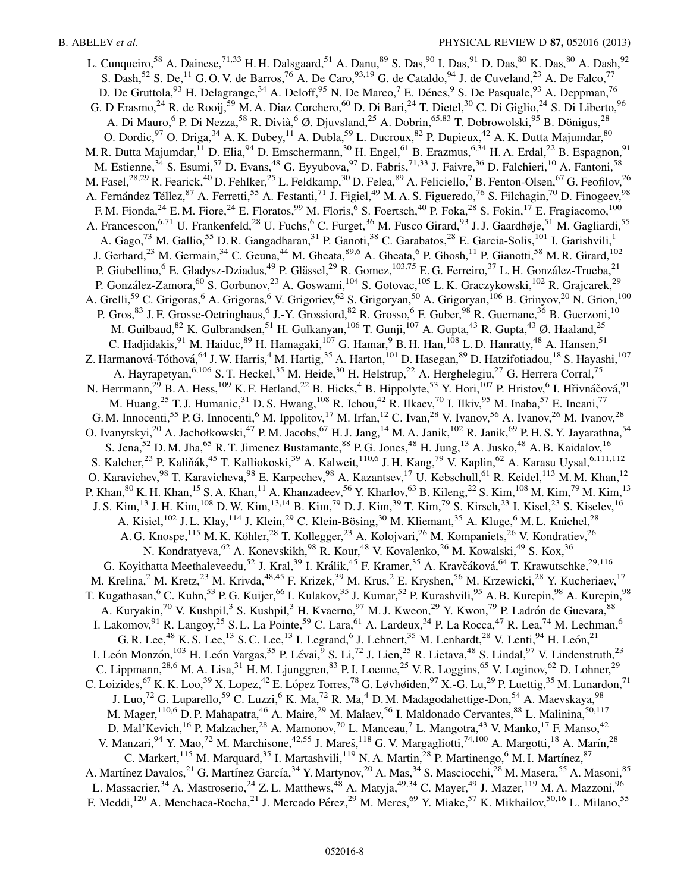L. Cunqueiro,<sup>58</sup> A. Dainese,<sup>71,33</sup> H. H. Dalsgaard,<sup>51</sup> A. Danu,<sup>89</sup> S. Das,<sup>90</sup> I. Das,<sup>91</sup> D. Das,<sup>80</sup> K. Das,<sup>80</sup> A. Dash,<sup>92</sup> S. Dash,<sup>52</sup> S. De,<sup>11</sup> G. O. V. de Barros,<sup>76</sup> A. De Caro,<sup>93,19</sup> G. de Cataldo,<sup>94</sup> J. de Cuveland,<sup>23</sup> A. De Falco,<sup>77</sup> D. De Gruttola,<sup>93</sup> H. Delagrange,<sup>34</sup> A. Deloff,<sup>95</sup> N. De Marco,<sup>7</sup> E. Dénes,<sup>9</sup> S. De Pasquale,<sup>93</sup> A. Deppman,<sup>76</sup> G. D Erasmo,<sup>24</sup> R. de Rooij,<sup>59</sup> M. A. Diaz Corchero,<sup>60</sup> D. Di Bari,<sup>24</sup> T. Dietel,<sup>30</sup> C. Di Giglio,<sup>24</sup> S. Di Liberto,<sup>96</sup> A. Di Mauro, <sup>6</sup> P. Di Nezza, <sup>58</sup> R. Divià, <sup>6</sup> Ø. Djuvsland, <sup>25</sup> A. Dobrin, <sup>65,83</sup> T. Dobrowolski, <sup>95</sup> B. Dönigus, <sup>28</sup> O. Dordic, <sup>97</sup> O. Driga, <sup>34</sup> A. K. Dubey, <sup>11</sup> A. Dubla, <sup>59</sup> L. Ducroux, <sup>82</sup> P. Dupieux, <sup>42</sup> A. K. Dutta Majumdar, <sup>80</sup> M. R. Dutta Majumdar, <sup>11</sup> D. Elia, <sup>94</sup> D. Emschermann, <sup>30</sup> H. Engel, <sup>61</sup> B. Erazmus, <sup>6,34</sup> H. A. Erdal, <sup>22</sup> B. Espagnon, <sup>91</sup> M. Estienne,<sup>34</sup> S. Esumi,<sup>57</sup> D. Evans,<sup>48</sup> G. Eyyubova,<sup>97</sup> D. Fabris,<sup>71,33</sup> J. Faivre,<sup>36</sup> D. Falchieri,<sup>10</sup> A. Fantoni,<sup>58</sup> M. Fasel,<sup>28,29</sup> R. Fearick,<sup>40</sup> D. Fehlker,<sup>25</sup> L. Feldkamp,<sup>30</sup> D. Felea,<sup>89</sup> A. Feliciello,<sup>7</sup> B. Fenton-Olsen,<sup>67</sup> G. Feofilov,<sup>26</sup> A. Fernández Téllez,  $87$  A. Ferretti,<sup>55</sup> A. Festanti,<sup>71</sup> J. Figiel,<sup>49</sup> M. A. S. Figueredo,<sup>76</sup> S. Filchagin,<sup>70</sup> D. Finogeev,<sup>98</sup> F. M. Fionda, <sup>24</sup> E. M. Fiore, <sup>24</sup> E. Floratos, <sup>99</sup> M. Floris, <sup>6</sup> S. Foertsch, <sup>40</sup> P. Foka, <sup>28</sup> S. Fokin, <sup>17</sup> E. Fragiacomo, <sup>100</sup> A. Francescon,<sup>6,71</sup> U. Frankenfeld,<sup>28</sup> U. Fuchs,<sup>6</sup> C. Furget,<sup>36</sup> M. Fusco Girard,<sup>93</sup> J.J. Gaardhøje,<sup>51</sup> M. Gagliardi,<sup>55</sup> A. Gago,<sup>73</sup> M. Gallio,<sup>55</sup> D. R. Gangadharan,<sup>31</sup> P. Ganoti,<sup>38</sup> C. Garabatos,<sup>28</sup> E. Garcia-Solis,<sup>101</sup> I. Garishvili,<sup>1</sup> J. Gerhard,<sup>23</sup> M. Germain,<sup>34</sup> C. Geuna,<sup>44</sup> M. Gheata,<sup>89,6</sup> A. Gheata,<sup>6</sup> P. Ghosh,<sup>11</sup> P. Gianotti,<sup>58</sup> M. R. Girard,<sup>102</sup> P. Giubellino,<sup>6</sup> E. Gladysz-Dziadus,<sup>49</sup> P. Glässel,<sup>29</sup> R. Gomez,<sup>103,75</sup> E. G. Ferreiro,<sup>37</sup> L. H. González-Trueba,<sup>21</sup> P. González-Zamora,<sup>60</sup> S. Gorbunov,<sup>23</sup> A. Goswami,<sup>104</sup> S. Gotovac,<sup>105</sup> L. K. Graczykowski,<sup>102</sup> R. Grajcarek,<sup>29</sup> A. Grelli,<sup>59</sup> C. Grigoras,<sup>6</sup> A. Grigoras,<sup>6</sup> V. Grigoriev,<sup>62</sup> S. Grigoryan,<sup>50</sup> A. Grigoryan,<sup>106</sup> B. Grinyov,<sup>20</sup> N. Grion,<sup>100</sup> P. Gros,<sup>83</sup> J. F. Grosse-Oetringhaus,<sup>6</sup> J.-Y. Grossiord,<sup>82</sup> R. Grosso,<sup>6</sup> F. Guber,<sup>98</sup> R. Guernane,<sup>36</sup> B. Guerzoni,<sup>10</sup> M. Guilbaud,  $82$  K. Gulbrandsen,  $51$  H. Gulkanyan,  $106$  T. Gunji,  $107$  A. Gupta,  $43$  R. Gupta,  $43$  Ø. Haaland,  $25$ C. Hadjidakis, <sup>91</sup> M. Haiduc, <sup>89</sup> H. Hamagaki,<sup>107</sup> G. Hamar, <sup>9</sup> B. H. Han,<sup>108</sup> L. D. Hanratty, <sup>48</sup> A. Hansen, <sup>51</sup> Z. Harmanová-Tóthová,<sup>64</sup> J. W. Harris,<sup>4</sup> M. Hartig,<sup>35</sup> A. Harton,<sup>101</sup> D. Hasegan,<sup>89</sup> D. Hatzifotiadou,<sup>18</sup> S. Hayashi,<sup>107</sup> A. Hayrapetyan,  $6,106$  S. T. Heckel,  $35$  M. Heide,  $30$  H. Helstrup,  $22$  A. Herghelegiu,  $27$  G. Herrera Corral,  $75$ N. Herrmann,<sup>29</sup> B. A. Hess,<sup>109</sup> K. F. Hetland,<sup>22</sup> B. Hicks,<sup>4</sup> B. Hippolyte,<sup>53</sup> Y. Hori,<sup>107</sup> P. Hristov,<sup>6</sup> I. Hřivnáčová,<sup>91</sup> M. Huang,<sup>25</sup> T. J. Humanic,<sup>31</sup> D. S. Hwang,<sup>108</sup> R. Ichou,<sup>42</sup> R. Ilkaev,<sup>70</sup> I. Ilkiv,<sup>95</sup> M. Inaba,<sup>57</sup> E. Incani,<sup>77</sup> G. M. Innocenti,<sup>55</sup> P. G. Innocenti,<sup>6</sup> M. Ippolitov,<sup>17</sup> M. Irfan,<sup>12</sup> C. Ivan,<sup>28</sup> V. Ivanov,<sup>56</sup> A. Ivanov,<sup>26</sup> M. Ivanov,<sup>28</sup> O. Ivanytskyi,<sup>20</sup> A. Jachołkowski,<sup>47</sup> P. M. Jacobs,<sup>67</sup> H. J. Jang,<sup>14</sup> M. A. Janik,<sup>102</sup> R. Janik,<sup>69</sup> P. H. S. Y. Jayarathna,<sup>54</sup> S. Jena,<sup>52</sup> D. M. Jha,<sup>65</sup> R. T. Jimenez Bustamante,<sup>88</sup> P. G. Jones,<sup>48</sup> H. Jung,<sup>13</sup> A. Jusko,<sup>48</sup> A. B. Kaidalov,<sup>16</sup> S. Kalcher,<sup>23</sup> P. Kalin´ak,<sup>45</sup> T. Kalliokoski,<sup>39</sup> A. Kalweit,<sup>110,6</sup> J. H. Kang,<sup>79</sup> V. Kaplin,<sup>62</sup> A. Karasu Uysal,<sup>6,111,112</sup> O. Karavichev,<sup>98</sup> T. Karavicheva,<sup>98</sup> E. Karpechev,<sup>98</sup> A. Kazantsev,<sup>17</sup> U. Kebschull,<sup>61</sup> R. Keidel,<sup>113</sup> M.M. Khan,<sup>12</sup> P. Khan,<sup>80</sup> K. H. Khan,<sup>15</sup> S. A. Khan,<sup>11</sup> A. Khanzadeev,<sup>56</sup> Y. Kharlov,<sup>63</sup> B. Kileng,<sup>22</sup> S. Kim,<sup>108</sup> M. Kim,<sup>79</sup> M. Kim,<sup>13</sup> J. S. Kim,<sup>13</sup> J. H. Kim,<sup>108</sup> D. W. Kim,<sup>13,14</sup> B. Kim,<sup>79</sup> D. J. Kim,<sup>39</sup> T. Kim,<sup>79</sup> S. Kirsch,<sup>23</sup> I. Kisel,<sup>23</sup> S. Kiselev,<sup>16</sup> A. Kisiel,<sup>102</sup> J. L. Klay,<sup>114</sup> J. Klein,<sup>29</sup> C. Klein-Bösing,<sup>30</sup> M. Kliemant,<sup>35</sup> A. Kluge,<sup>6</sup> M. L. Knichel,<sup>28</sup> A. G. Knospe,<sup>115</sup> M. K. Köhler,<sup>28</sup> T. Kollegger,<sup>23</sup> A. Kolojvari,<sup>26</sup> M. Kompaniets,<sup>26</sup> V. Kondratiev,<sup>26</sup> N. Kondratyeva, <sup>62</sup> A. Konevskikh, <sup>98</sup> R. Kour, <sup>48</sup> V. Kovalenko, <sup>26</sup> M. Kowalski, <sup>49</sup> S. Kox, <sup>36</sup> G. Koyithatta Meethaleveedu,<sup>52</sup> J. Kral,<sup>39</sup> I. Králik,<sup>45</sup> F. Kramer,<sup>35</sup> A. Kravčáková,<sup>64</sup> T. Krawutschke,<sup>29,116</sup> M. Krelina,<sup>2</sup> M. Kretz,<sup>23</sup> M. Krivda,<sup>48,45</sup> F. Krizek,<sup>39</sup> M. Krus,<sup>2</sup> E. Kryshen,<sup>56</sup> M. Krzewicki,<sup>28</sup> Y. Kucheriaev,<sup>17</sup> T. Kugathasan,<sup>6</sup> C. Kuhn,<sup>53</sup> P. G. Kuijer,<sup>66</sup> I. Kulakov,<sup>35</sup> J. Kumar,<sup>52</sup> P. Kurashvili,<sup>95</sup> A. B. Kurepin,<sup>98</sup> A. Kurepin,<sup>98</sup> A. Kuryakin, <sup>70</sup> V. Kushpil, <sup>3</sup> S. Kushpil, <sup>3</sup> H. Kvaerno, <sup>97</sup> M. J. Kweon, <sup>29</sup> Y. Kwon, <sup>79</sup> P. Ladrón de Guevara, <sup>88</sup> I. Lakomov, <sup>91</sup> R. Langoy, <sup>25</sup> S. L. La Pointe, <sup>59</sup> C. Lara, <sup>61</sup> A. Lardeux, <sup>34</sup> P. La Rocca, <sup>47</sup> R. Lea, <sup>74</sup> M. Lechman, <sup>6</sup> G. R. Lee,<sup>48</sup> K. S. Lee,<sup>13</sup> S. C. Lee,<sup>13</sup> I. Legrand,<sup>6</sup> J. Lehnert,<sup>35</sup> M. Lenhardt,<sup>28</sup> V. Lenti,<sup>94</sup> H. León,<sup>21</sup> I. León Monzón,<sup>103</sup> H. León Vargas,<sup>35</sup> P. Lévai, <sup>9</sup> S. Li,<sup>72</sup> J. Lien,<sup>25</sup> R. Lietava,<sup>48</sup> S. Lindal,<sup>97</sup> V. Lindenstruth,<sup>23</sup> C. Lippmann,<sup>28,6</sup> M. A. Lisa,<sup>31</sup> H. M. Ljunggren,<sup>83</sup> P. I. Loenne,<sup>25</sup> V. R. Loggins,<sup>65</sup> V. Loginov,<sup>62</sup> D. Lohner,<sup>29</sup> C. Loizides, <sup>67</sup> K. K. Loo,<sup>39</sup> X. Lopez, <sup>42</sup> E. López Torres, <sup>78</sup> G. Løvhøiden, <sup>97</sup> X. -G. Lu, <sup>29</sup> P. Luettig, <sup>35</sup> M. Lunardon, <sup>71</sup> J. Luo,<sup>72</sup> G. Luparello,<sup>59</sup> C. Luzzi,<sup>6</sup> K. Ma,<sup>72</sup> R. Ma,<sup>4</sup> D. M. Madagodahettige-Don,<sup>54</sup> A. Maevskaya,<sup>98</sup> M. Mager,<sup>110,6</sup> D. P. Mahapatra,<sup>46</sup> A. Maire,<sup>29</sup> M. Malaev,<sup>56</sup> I. Maldonado Cervantes,<sup>88</sup> L. Malinina,<sup>50,117</sup> D. Mal'Kevich, <sup>16</sup> P. Malzacher, <sup>28</sup> A. Mamonov, <sup>70</sup> L. Manceau, <sup>7</sup> L. Mangotra, <sup>43</sup> V. Manko, <sup>17</sup> F. Manso, <sup>42</sup> V. Manzari, <sup>94</sup> Y. Mao, <sup>72</sup> M. Marchisone, <sup>42,55</sup> J. Mareš, <sup>118</sup> G. V. Margagliotti, <sup>74,100</sup> A. Margotti, <sup>18</sup> A. Marín, <sup>28</sup> C. Markert, <sup>115</sup> M. Marquard, <sup>35</sup> I. Martashvili, <sup>119</sup> N. A. Martin, <sup>28</sup> P. Martinengo, <sup>6</sup> M. I. Martinez, <sup>87</sup> A. Martínez Davalos,<sup>21</sup> G. Martínez García,<sup>34</sup> Y. Martynov,<sup>20</sup> A. Mas,<sup>34</sup> S. Masciocchi,<sup>28</sup> M. Masera,<sup>55</sup> A. Masoni,<sup>85</sup> L. Massacrier,<sup>34</sup> A. Mastroserio,<sup>24</sup> Z.L. Matthews,<sup>48</sup> A. Matyja,<sup>49,34</sup> C. Mayer,<sup>49</sup> J. Mazer,<sup>119</sup> M. A. Mazzoni,<sup>96</sup> F. Meddi,<sup>120</sup> A. Menchaca-Rocha,<sup>21</sup> J. Mercado Pérez,<sup>29</sup> M. Meres,<sup>69</sup> Y. Miake,<sup>57</sup> K. Mikhailov,<sup>50,16</sup> L. Milano,<sup>55</sup>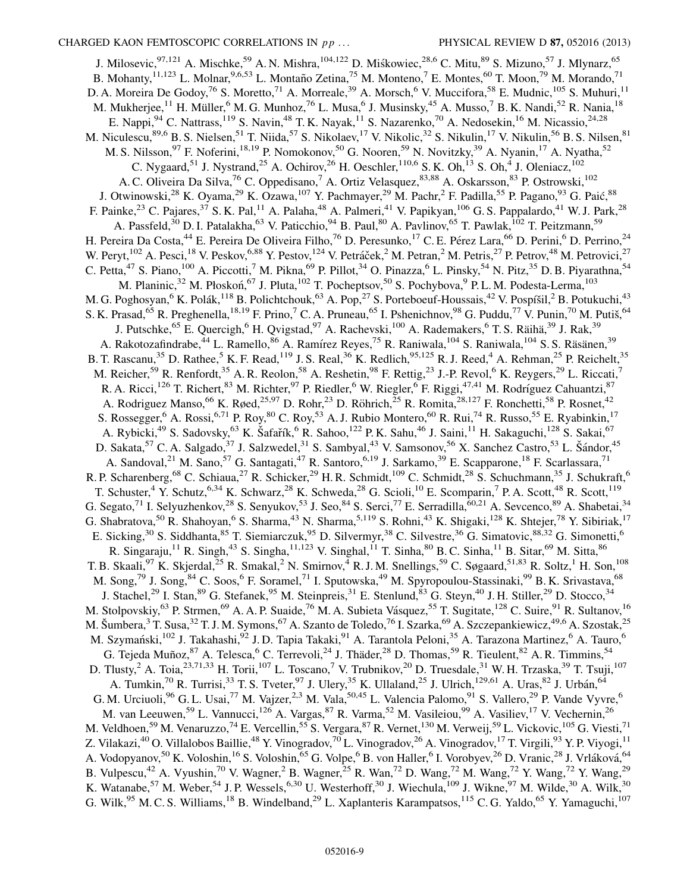J. Milosevic, <sup>97,121</sup> A. Mischke,<sup>59</sup> A. N. Mishra,<sup>104,122</sup> D. Miśkowiec,<sup>28,6</sup> C. Mitu,<sup>89</sup> S. Mizuno,<sup>57</sup> J. Mlynarz,<sup>65</sup> B. Mohanty,<sup>11,123</sup> L. Molnar,<sup>9,6,53</sup> L. Montaño Zetina,<sup>75</sup> M. Monteno,<sup>7</sup> E. Montes,<sup>60</sup> T. Moon,<sup>79</sup> M. Morando,<sup>71</sup> D. A. Moreira De Godoy,<sup>76</sup> S. Moretto,<sup>71</sup> A. Morreale,<sup>39</sup> A. Morsch,<sup>6</sup> V. Muccifora,<sup>58</sup> E. Mudnic,<sup>105</sup> S. Muhuri,<sup>11</sup> M. Mukherjee,<sup>11</sup> H. Müller,<sup>6</sup> M. G. Munhoz,<sup>76</sup> L. Musa,<sup>6</sup> J. Musinsky,<sup>45</sup> A. Musso,<sup>7</sup> B. K. Nandi,<sup>52</sup> R. Nania,<sup>18</sup> E. Nappi, <sup>94</sup> C. Nattrass, <sup>119</sup> S. Navin, <sup>48</sup> T. K. Nayak, <sup>11</sup> S. Nazarenko, <sup>70</sup> A. Nedosekin, <sup>16</sup> M. Nicassio, <sup>24,28</sup> M. Niculescu,  $89,6$  B. S. Nielsen,  $51$  T. Niida,  $57$  S. Nikolaev,  $17$  V. Nikolic,  $32$  S. Nikulin,  $17$  V. Nikulin,  $56$  B. S. Nilsen,  $81$ M. S. Nilsson, <sup>97</sup> F. Noferini, <sup>18,19</sup> P. Nomokonov, <sup>50</sup> G. Nooren, <sup>59</sup> N. Novitzky, <sup>39</sup> A. Nyanin, <sup>17</sup> A. Nyatha, <sup>52</sup> C. Nygaard,<sup>51</sup> J. Nystrand,<sup>25</sup> A. Ochirov,<sup>26</sup> H. Oeschler,<sup>110,6</sup> S. K. Oh,<sup>13</sup> S. Oh,<sup>4</sup> J. Oleniacz,<sup>102</sup> A. C. Oliveira Da Silva,<sup>76</sup> C. Oppedisano,<sup>7</sup> A. Ortiz Velasquez,<sup>83,88</sup> A. Oskarsson,<sup>83</sup> P. Ostrowski,<sup>102</sup> J. Otwinowski,<sup>28</sup> K. Oyama,<sup>29</sup> K. Ozawa,<sup>107</sup> Y. Pachmayer,<sup>29</sup> M. Pachr,<sup>2</sup> F. Padilla,<sup>55</sup> P. Pagano,<sup>93</sup> G. Paić,<sup>88</sup> F. Painke,<sup>23</sup> C. Pajares,<sup>37</sup> S. K. Pal,<sup>11</sup> A. Palaha,<sup>48</sup> A. Palmeri,<sup>41</sup> V. Papikyan,<sup>106</sup> G. S. Pappalardo,<sup>41</sup> W. J. Park,<sup>28</sup> A. Passfeld,<sup>30</sup> D. I. Patalakha,<sup>63</sup> V. Paticchio,<sup>94</sup> B. Paul,<sup>80</sup> A. Pavlinov,<sup>65</sup> T. Pawlak,<sup>102</sup> T. Peitzmann,<sup>59</sup> H. Pereira Da Costa,<sup>44</sup> E. Pereira De Oliveira Filho,<sup>76</sup> D. Peresunko,<sup>17</sup> C. E. Pérez Lara,<sup>66</sup> D. Perini,<sup>6</sup> D. Perrino,<sup>24</sup> W. Peryt,<sup>102</sup> A. Pesci,<sup>18</sup> V. Peskov,<sup>6,88</sup> Y. Pestov,<sup>124</sup> V. Petráček,<sup>2</sup> M. Petran,<sup>2</sup> M. Petris,<sup>27</sup> P. Petrov,<sup>48</sup> M. Petrovici,<sup>27</sup> C. Petta,<sup>47</sup> S. Piano,<sup>100</sup> A. Piccotti,<sup>7</sup> M. Pikna,<sup>69</sup> P. Pillot,<sup>34</sup> O. Pinazza,<sup>6</sup> L. Pinsky,<sup>54</sup> N. Pitz,<sup>35</sup> D. B. Piyarathna,<sup>54</sup> M. Planinic,<sup>32</sup> M. Płoskoń,<sup>67</sup> J. Pluta,<sup>102</sup> T. Pocheptsov,<sup>50</sup> S. Pochybova,<sup>9</sup> P. L. M. Podesta-Lerma,<sup>103</sup> M. G. Poghosyan,<sup>6</sup> K. Polák,<sup>118</sup> B. Polichtchouk,<sup>63</sup> A. Pop,<sup>27</sup> S. Porteboeuf-Houssais,<sup>42</sup> V. Pospíšil,<sup>2</sup> B. Potukuchi,<sup>43</sup> S. K. Prasad, <sup>65</sup> R. Preghenella, <sup>18,19</sup> F. Prino, <sup>7</sup> C. A. Pruneau, <sup>65</sup> I. Pshenichnov, <sup>98</sup> G. Puddu, <sup>77</sup> V. Punin, <sup>70</sup> M. Putiš, <sup>64</sup> J. Putschke,<sup>65</sup> E. Quercigh,<sup>6</sup> H. Qvigstad,<sup>97</sup> A. Rachevski,<sup>100</sup> A. Rademakers,<sup>6</sup> T. S. Räihä,<sup>39</sup> J. Rak,<sup>39</sup> A. Rakotozafindrabe,<sup>44</sup> L. Ramello,<sup>86</sup> A. Ramírez Reyes,<sup>75</sup> R. Raniwala,<sup>104</sup> S. Raniwala,<sup>104</sup> S. S. Räsänen,<sup>39</sup> B. T. Rascanu,<sup>35</sup> D. Rathee,<sup>5</sup> K. F. Read,<sup>119</sup> J. S. Real,<sup>36</sup> K. Redlich,<sup>95,125</sup> R. J. Reed,<sup>4</sup> A. Rehman,<sup>25</sup> P. Reichelt,<sup>35</sup> M. Reicher,<sup>59</sup> R. Renfordt,<sup>35</sup> A. R. Reolon,<sup>58</sup> A. Reshetin,<sup>98</sup> F. Rettig,<sup>23</sup> J.-P. Revol,<sup>6</sup> K. Reygers,<sup>29</sup> L. Riccati,<sup>7</sup> R. A. Ricci,<sup>126</sup> T. Richert,<sup>83</sup> M. Richter,<sup>97</sup> P. Riedler,<sup>6</sup> W. Riegler,<sup>6</sup> F. Riggi,<sup>47,41</sup> M. Rodríguez Cahuantzi,<sup>87</sup> A. Rodriguez Manso, <sup>66</sup> K. Røed, <sup>25,97</sup> D. Rohr, <sup>23</sup> D. Röhrich, <sup>25</sup> R. Romita, <sup>28,127</sup> F. Ronchetti, <sup>58</sup> P. Rosnet, <sup>42</sup> S. Rossegger,  $6$  A. Rossi,  $6.71$  P. Roy,  $80$  C. Roy,  $53$  A. J. Rubio Montero,  $60$  R. Rui,  $74$  R. Russo,  $55$  E. Ryabinkin,<sup>17</sup> A. Rybicki,<sup>49</sup> S. Sadovsky,<sup>63</sup> K. Šafařík,<sup>6</sup> R. Sahoo,<sup>122</sup> P. K. Sahu,<sup>46</sup> J. Saini,<sup>11</sup> H. Sakaguchi,<sup>128</sup> S. Sakai,<sup>67</sup> D. Sakata,<sup>57</sup> C. A. Salgado,<sup>37</sup> J. Salzwedel,<sup>31</sup> S. Sambyal,<sup>43</sup> V. Samsonov,<sup>56</sup> X. Sanchez Castro,<sup>53</sup> L. Šándor,<sup>45</sup> A. Sandoval,<sup>21</sup> M. Sano,<sup>57</sup> G. Santagati,<sup>47</sup> R. Santoro,<sup>6,19</sup> J. Sarkamo,<sup>39</sup> E. Scapparone,<sup>18</sup> F. Scarlassara,<sup>71</sup> R. P. Scharenberg,<sup>68</sup> C. Schiaua,<sup>27</sup> R. Schicker,<sup>29</sup> H. R. Schmidt,<sup>109</sup> C. Schmidt,<sup>28</sup> S. Schuchmann,<sup>35</sup> J. Schukraft,<sup>6</sup> T. Schuster,<sup>4</sup> Y. Schutz,<sup>6,34</sup> K. Schwarz,<sup>28</sup> K. Schweda,<sup>28</sup> G. Scioli,<sup>10</sup> E. Scomparin,<sup>7</sup> P. A. Scott,<sup>48</sup> R. Scott,<sup>119</sup> G. Segato,<sup>71</sup> I. Selyuzhenkov,<sup>28</sup> S. Senyukov,<sup>53</sup> J. Seo,<sup>84</sup> S. Serci,<sup>77</sup> E. Serradilla,<sup>60,21</sup> A. Sevcenco,<sup>89</sup> A. Shabetai,<sup>34</sup> G. Shabratova,<sup>50</sup> R. Shahoyan,<sup>6</sup> S. Sharma,<sup>43</sup> N. Sharma,<sup>5,119</sup> S. Rohni,<sup>43</sup> K. Shigaki,<sup>128</sup> K. Shtejer,<sup>78</sup> Y. Sibiriak,<sup>17</sup> E. Sicking,<sup>30</sup> S. Siddhanta,<sup>85</sup> T. Siemiarczuk,<sup>95</sup> D. Silvermyr,<sup>38</sup> C. Silvestre,<sup>36</sup> G. Simatovic,<sup>88,32</sup> G. Simonetti,<sup>6</sup> R. Singaraju,<sup>11</sup> R. Singh,<sup>43</sup> S. Singha,<sup>11,123</sup> V. Singhal,<sup>11</sup> T. Sinha,<sup>80</sup> B. C. Sinha,<sup>11</sup> B. Sitar,<sup>69</sup> M. Sitta,<sup>86</sup> T. B. Skaali, <sup>97</sup> K. Skjerdal, <sup>25</sup> R. Smakal, <sup>2</sup> N. Smirnov, <sup>4</sup> R. J. M. Snellings, <sup>59</sup> C. Søgaard, <sup>51,83</sup> R. Soltz, <sup>1</sup> H. Son, <sup>108</sup> M. Song,<sup>79</sup> J. Song,<sup>84</sup> C. Soos,<sup>6</sup> F. Soramel,<sup>71</sup> I. Sputowska,<sup>49</sup> M. Spyropoulou-Stassinaki,<sup>99</sup> B. K. Srivastava,<sup>68</sup> J. Stachel,<sup>29</sup> I. Stan,<sup>89</sup> G. Stefanek,<sup>95</sup> M. Steinpreis,<sup>31</sup> E. Stenlund,<sup>83</sup> G. Steyn,<sup>40</sup> J. H. Stiller,<sup>29</sup> D. Stocco,<sup>34</sup> M. Stolpovskiy, <sup>63</sup> P. Strmen, <sup>69</sup> A. A. P. Suaide, <sup>76</sup> M. A. Subieta Vásquez, <sup>55</sup> T. Sugitate, <sup>128</sup> C. Suire, <sup>91</sup> R. Sultanov, <sup>16</sup> M. Šumbera,<sup>3</sup> T. Susa,<sup>32</sup> T. J. M. Symons,<sup>67</sup> A. Szanto de Toledo,<sup>76</sup> I. Szarka,<sup>69</sup> A. Szczepankiewicz,<sup>49,6</sup> A. Szostak,<sup>25</sup> M. Szymański,<sup>102</sup> J. Takahashi,<sup>92</sup> J. D. Tapia Takaki,<sup>91</sup> A. Tarantola Peloni,<sup>35</sup> A. Tarazona Martinez,<sup>6</sup> A. Tauro,<sup>6</sup> G. Tejeda Muñoz, <sup>87</sup> A. Telesca, <sup>6</sup> C. Terrevoli, <sup>24</sup> J. Thäder, <sup>28</sup> D. Thomas, <sup>59</sup> R. Tieulent, <sup>82</sup> A. R. Timmins, <sup>54</sup> D. Tlusty, <sup>2</sup> A. Toia,<sup>23,71,33</sup> H. Torii,<sup>107</sup> L. Toscano, <sup>7</sup> V. Trubnikov, <sup>20</sup> D. Truesdale, <sup>31</sup> W. H. Trzaska, <sup>39</sup> T. Tsuji,<sup>107</sup> A. Tumkin,<sup>70</sup> R. Turrisi,<sup>33</sup> T. S. Tveter,<sup>97</sup> J. Ulery,<sup>35</sup> K. Ullaland,<sup>25</sup> J. Ulrich,<sup>129,61</sup> A. Uras,<sup>82</sup> J. Urbán,<sup>64</sup> G. M. Urciuoli,  $96$  G. L. Usai,  $77$  M. Vajzer,  $2.3$  M. Vala,  $50.45$  L. Valencia Palomo,  $91$  S. Vallero,  $29$  P. Vande Vyvre,  $6$ M. van Leeuwen,<sup>59</sup> L. Vannucci,<sup>126</sup> A. Vargas,<sup>87</sup> R. Varma,<sup>52</sup> M. Vasileiou,<sup>99</sup> A. Vasiliev,<sup>17</sup> V. Vechernin,<sup>26</sup> M. Veldhoen,<sup>59</sup> M. Venaruzzo,<sup>74</sup> E. Vercellin,<sup>55</sup> S. Vergara,<sup>87</sup> R. Vernet,<sup>130</sup> M. Verweij,<sup>59</sup> L. Vickovic,<sup>105</sup> G. Viesti,<sup>71</sup> Z. Vilakazi,  $^{40}$  O. Villalobos Baillie,  $^{48}$  Y. Vinogradov,  $^{70}$  L. Vinogradov,  $^{26}$  A. Vinogradov,  $^{17}$  T. Virgili,  $^{93}$  Y. P. Viyogi,  $^{11}$ A. Vodopyanov,<sup>50</sup> K. Voloshin,<sup>16</sup> S. Voloshin,<sup>65</sup> G. Volpe,<sup>6</sup> B. von Haller,<sup>6</sup> I. Vorobyev,<sup>26</sup> D. Vranic,<sup>28</sup> J. Vrláková,<sup>64</sup> B. Vulpescu,<sup>42</sup> A. Vyushin,<sup>70</sup> V. Wagner,<sup>2</sup> B. Wagner,<sup>25</sup> R. Wan,<sup>72</sup> D. Wang,<sup>72</sup> M. Wang,<sup>72</sup> Y. Wang,<sup>72</sup> Y. Wang,<sup>29</sup> K. Watanabe,<sup>57</sup> M. Weber,<sup>54</sup> J. P. Wessels,<sup>6,30</sup> U. Westerhoff,<sup>30</sup> J. Wiechula,<sup>109</sup> J. Wikne,<sup>97</sup> M. Wilde,<sup>30</sup> A. Wilk,<sup>30</sup> G. Wilk, <sup>95</sup> M. C. S. Williams, <sup>18</sup> B. Windelband, <sup>29</sup> L. Xaplanteris Karampatsos, <sup>115</sup> C. G. Yaldo, <sup>65</sup> Y. Yamaguchi, <sup>107</sup>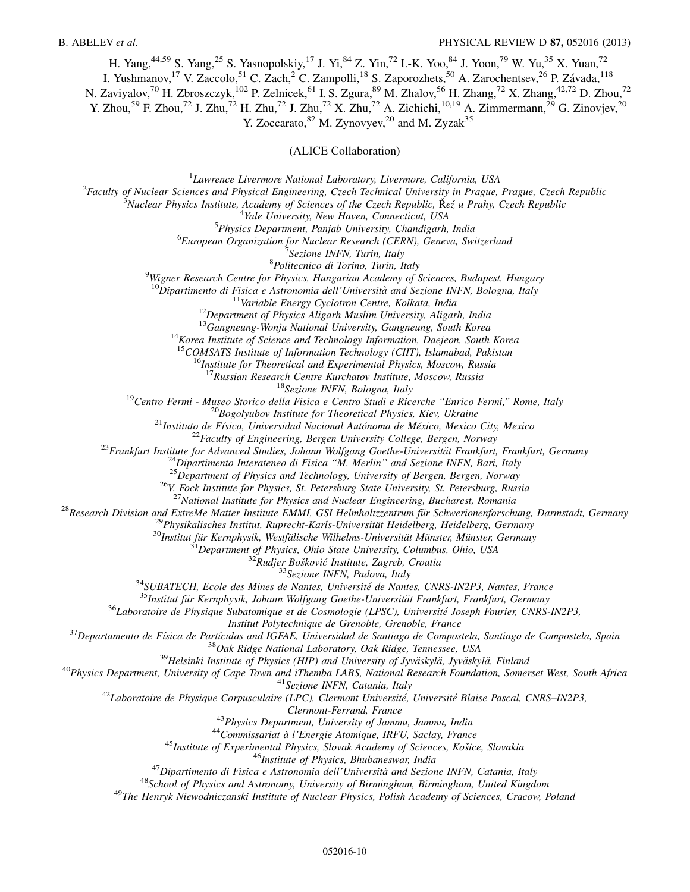H. Yang,<sup>44,59</sup> S. Yang,<sup>25</sup> S. Yasnopolskiy,<sup>17</sup> J. Yi,<sup>84</sup> Z. Yin,<sup>72</sup> I.-K. Yoo,<sup>84</sup> J. Yoon,<sup>79</sup> W. Yu,<sup>35</sup> X. Yuan,<sup>72</sup>

I. Yushmanov,<sup>17</sup> V. Zaccolo,<sup>51</sup> C. Zach,<sup>2</sup> C. Zampolli,<sup>18</sup> S. Zaporozhets,<sup>50</sup> A. Zarochentsev,<sup>26</sup> P. Závada,<sup>118</sup>

N. Zaviyalov,<sup>70</sup> H. Zbroszczyk,<sup>102</sup> P. Zelnicek,<sup>61</sup> I. S. Zgura,<sup>89</sup> M. Zhalov,<sup>56</sup> H. Zhang,<sup>72</sup> X. Zhang,<sup>42,72</sup> D. Zhou,<sup>72</sup>

Y. Zhou,<sup>59</sup> F. Zhou,<sup>72</sup> J. Zhu,<sup>72</sup> H. Zhu,<sup>72</sup> J. Zhu,<sup>72</sup> X. Zhu,<sup>72</sup> A. Zichichi,<sup>10,19</sup> A. Zimmermann,<sup>29</sup> G. Zinovjev,<sup>20</sup>

Y. Zoccarato,  $82$  M. Zynovyev,  $20$  and M. Zyzak $35$ 

(ALICE Collaboration)

 ${}^{1}$ Lawrence Livermore National Laboratory, Livermore, California, USA <sup>1</sup>Lawrence Livermore National Laboratory, Livermore, California, USA<br><sup>2</sup>Eaculty of Nuclear Sciences and Physical Engineering, Czech Technical University in Prague

Faculty of Nuclear Sciences and Physical Engineering, Czech Technical University in Prague, Prague, Czech Republic<br><sup>3</sup>Nuclear Physics Institute, Academy of Sciences of the Czech Republic Peă u Prahy Czech Republic

Nuclear Detences and *Flysted Duplic Seconds* Connection, Capacity and The Czech Republic, Rež u Prahy, Czech Republic Academy of Sciences of the Czech Republic, Rež u Prahy, Czech Republic 4 Vale University, New Haven, Co

<sup>4</sup>Yale University, New Haven, Connecticut, USA

 $5$ Physics Department, Panjab University, Chandigarh, India

<sup>6</sup>European Organization for Nuclear Research (CERN), Geneva, Switzerland <sup>7</sup>Sezione INFN, Turin, Italy

<sup>8</sup>Politecnico di Torino, Turin, Italy

<sup>8</sup>Politecnico di Torino, Turin, Italy<br><sup>9</sup>Wigner Research Centre for Physics, Hungarian Academy of Sciences, Budapest, Hungary

<sup>10</sup>Dipartimento di Fisica e Astronomia dell'Università and Sezione INFN, Bologna, Italy <sup>11</sup>Variable Energy Cyclotron Centre, Kolkata, India <sup>12</sup>Department of Physics Aligarh Muslim University, Aligarh, India <sup>13</sup>Gangneu

 $14$ Korea Institute of Science and Technology Information, Daejeon, South Korea

<sup>15</sup>COMSATS Institute of Information Technology (CIIT), Islamabad, Pakistan <sup>16</sup>Institute for Theoretical and Experimental Physics, Moscow, Russia<br><sup>17</sup>Russian Research Centre Kurchatov Institute, Moscow, Russia

<sup>18</sup>Sezione INFN, Bologna, Italy<br><sup>19</sup>Centro Fermi - Museo Storico della Fisica e Centro Studi e Ricerche "Enrico Fermi," Rome, Italy<br><sup>20</sup>Bogolyubov Institute for Theoretical Physics, Kiev, Ukraine<br><sup>21</sup>Instituto de Física,

<sup>26</sup>V. Fock Institute for Physics, St. Petersburg State University, St. Petersburg, Russia

<sup>27</sup>National Institute for Physics and Nuclear Engineering, Bucharest, Romania<br><sup>28</sup>Research Division and ExtreMe Matter Institute EMMI, GSI Helmholtzzentrum für Schwerionenforschung, Darmstadt, Germany<br><sup>29</sup>Physikalisches

Institut Polytechnique de Grenoble, Grenoble, France<br><sup>37</sup>Departamento de Física de Partículas and IGFAE, Universidad de Santiago de Compostela, Santiago de Compostela, Spain<br><sup>38</sup>Oak Ridge National Laboratory, Oak Ridge, T

Clermont-Ferrand, France<br><sup>43</sup>Physics Department, University of Jammu, Jammu, India<br><sup>44</sup>Commissariat à l'Energie Atomique, IRFU, Saclay, France<br><sup>45</sup>Institute of Experimental Physics, Slovak Academy of Sciences, Košice, Slov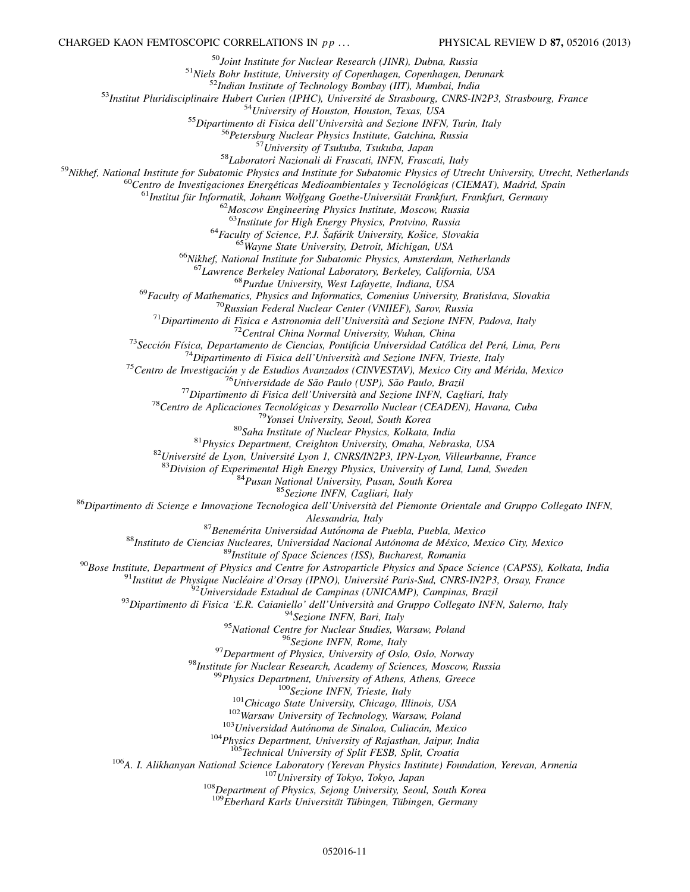$\begin{array}{r} \text{^{50}} \text{Joint Institute for Nuclear Research (JINR), Dubna, Russia} \\ \text{^{51}} \text{Niels Bohr Institute, University of Copenhagen, Copenhagen, Denmark} \\ \text{^{52}} \text{Mields Bohr Institute of Technology Bombagn, Copenhagen, Denmark} \\ \text{^{53}} \text{Institut Pluridisciplinaire Hubert Curien (IPRC), University of Houston, Texas, USA} \\ \text{^{54}} \text{University of Houston, Houston, Texas, USA} \\ \text{^{55}} \text{Dipartimento di Fisica dell'Università and Sezione INFN, Turin, Italy} \\ \text{^{56}} \text{Petersburg Nuclear Physics Institute, Gachina, Russia} \\ \text{^{57}} \text{University of Fuskuba, Ts$ 

<sup>63</sup>Institute for High Energy Physics, Protvino, Russia<br><sup>64</sup>Faculty of Science, P.J. Šafárik University, Košice, Slovakia<br><sup>65</sup>Wayne State University, Detroit, Michigan, USA<br><sup>66</sup>Nikhef, National Institute for Subatomic Phy

<sup>67</sup>Lawrence Berkeley National Laboratory, Berkeley, California, USA<br>
<sup>67</sup>Lawrence Berkeley National Laboratory, Berkeley, California, USA<br>
<sup>68</sup>Paculty of Mathematics, Physics and Informatics, Comenius University, Bratis

<sup>87</sup> Benemérita Universidad National de Puebla, Puebla, Mexico<br>
<sup>87</sup> Benemérita Universidad National de Puebla, Puebla, Mexico<br>
<sup>90</sup> Bose Institute (Department of Physics and Centre for Astroparticle Physics and Squee Scie

 $109$ Eberhard Karls Universität Tübingen, Tübingen, Germany